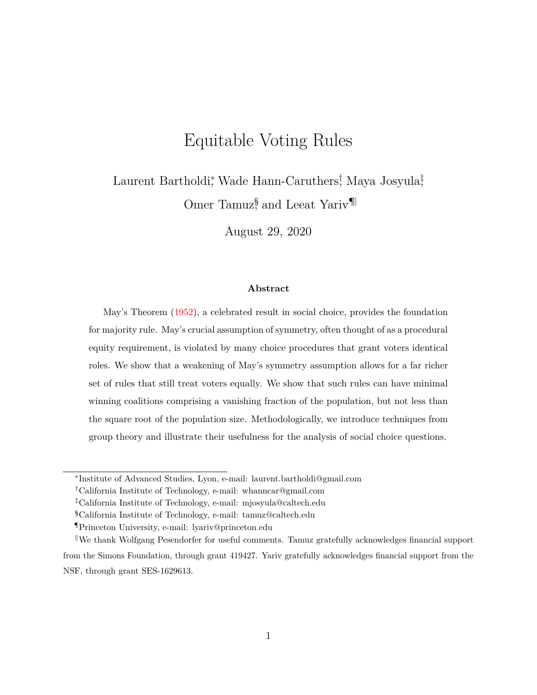# Equitable Voting Rules

Laurent Bartholdi<sup>\*</sup>, Wade Hann-Caruthers<sup>†</sup>, Maya Josyula<sup>‡</sup>, Omer Tamuz<sup>§</sup>, and Leeat Yariv<sup>¶|</sup>

August 29, 2020

### **Abstract**

May's Theorem [\(1952\)](#page-41-0), a celebrated result in social choice, provides the foundation for majority rule. May's crucial assumption of symmetry, often thought of as a procedural equity requirement, is violated by many choice procedures that grant voters identical roles. We show that a weakening of May's symmetry assumption allows for a far richer set of rules that still treat voters equally. We show that such rules can have minimal winning coalitions comprising a vanishing fraction of the population, but not less than the square root of the population size. Methodologically, we introduce techniques from group theory and illustrate their usefulness for the analysis of social choice questions.

<sup>∗</sup> Institute of Advanced Studies, Lyon, e-mail: laurent.bartholdi@gmail.com

<sup>†</sup>California Institute of Technology, e-mail: whanncar@gmail.com

<sup>‡</sup>California Institute of Technology, e-mail: mjosyula@caltech.edu

<sup>§</sup>California Institute of Technology, e-mail: tamuz@caltech.edu

<sup>¶</sup>Princeton University, e-mail: lyariv@princeton.edu

We thank Wolfgang Pesendorfer for useful comments. Tamuz gratefully acknowledges financial support from the Simons Foundation, through grant 419427. Yariv gratefully acknowledges financial support from the NSF, through grant SES-1629613.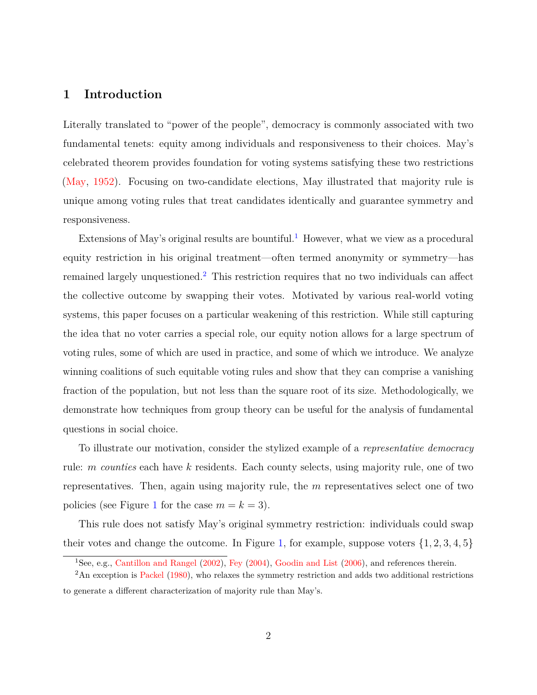## **1 Introduction**

Literally translated to "power of the people", democracy is commonly associated with two fundamental tenets: equity among individuals and responsiveness to their choices. May's celebrated theorem provides foundation for voting systems satisfying these two restrictions [\(May,](#page-41-0) [1952\)](#page-41-0). Focusing on two-candidate elections, May illustrated that majority rule is unique among voting rules that treat candidates identically and guarantee symmetry and responsiveness.

Extensions of May's original results are bountiful.<sup>[1](#page-1-0)</sup> However, what we view as a procedural equity restriction in his original treatment—often termed anonymity or symmetry—has remained largely unquestioned.[2](#page-1-1) This restriction requires that no two individuals can affect the collective outcome by swapping their votes. Motivated by various real-world voting systems, this paper focuses on a particular weakening of this restriction. While still capturing the idea that no voter carries a special role, our equity notion allows for a large spectrum of voting rules, some of which are used in practice, and some of which we introduce. We analyze winning coalitions of such equitable voting rules and show that they can comprise a vanishing fraction of the population, but not less than the square root of its size. Methodologically, we demonstrate how techniques from group theory can be useful for the analysis of fundamental questions in social choice.

To illustrate our motivation, consider the stylized example of a *representative democracy* rule: *m counties* each have *k* residents. Each county selects, using majority rule, one of two representatives. Then, again using majority rule, the *m* representatives select one of two policies (see Figure [1](#page-2-0) for the case  $m = k = 3$ ).

This rule does not satisfy May's original symmetry restriction: individuals could swap their votes and change the outcome. In Figure [1,](#page-2-0) for example, suppose voters  $\{1, 2, 3, 4, 5\}$ 

<span id="page-1-1"></span><span id="page-1-0"></span><sup>1</sup>See, e.g., [Cantillon and Rangel](#page-40-0) [\(2002\)](#page-40-0), [Fey](#page-40-1) [\(2004\)](#page-40-1), [Goodin and List](#page-40-2) [\(2006\)](#page-40-2), and references therein.

<sup>&</sup>lt;sup>2</sup>An exception is [Packel](#page-41-1) [\(1980\)](#page-41-1), who relaxes the symmetry restriction and adds two additional restrictions to generate a different characterization of majority rule than May's.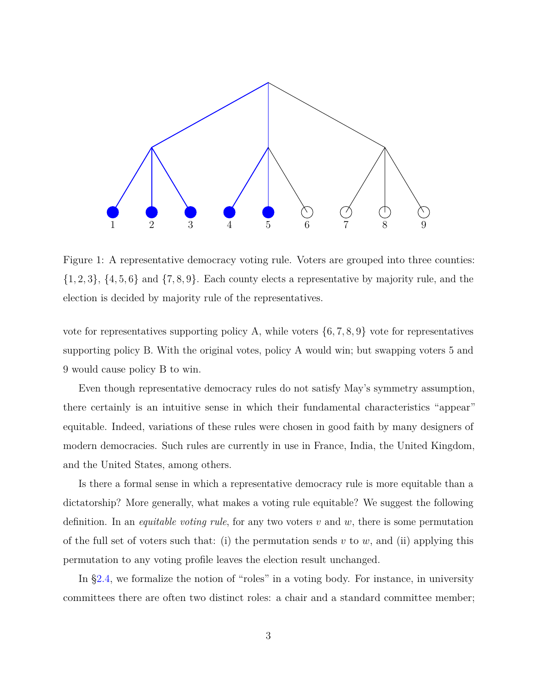<span id="page-2-0"></span>

Figure 1: A representative democracy voting rule. Voters are grouped into three counties: {1*,* 2*,* 3}, {4*,* 5*,* 6} and {7*,* 8*,* 9}. Each county elects a representative by majority rule, and the election is decided by majority rule of the representatives.

vote for representatives supporting policy A, while voters  $\{6, 7, 8, 9\}$  vote for representatives supporting policy B. With the original votes, policy A would win; but swapping voters 5 and 9 would cause policy B to win.

Even though representative democracy rules do not satisfy May's symmetry assumption, there certainly is an intuitive sense in which their fundamental characteristics "appear" equitable. Indeed, variations of these rules were chosen in good faith by many designers of modern democracies. Such rules are currently in use in France, India, the United Kingdom, and the United States, among others.

Is there a formal sense in which a representative democracy rule is more equitable than a dictatorship? More generally, what makes a voting rule equitable? We suggest the following definition. In an *equitable voting rule*, for any two voters *v* and *w*, there is some permutation of the full set of voters such that: (i) the permutation sends  $v$  to  $w$ , and (ii) applying this permutation to any voting profile leaves the election result unchanged.

In [§2.4,](#page-9-0) we formalize the notion of "roles" in a voting body. For instance, in university committees there are often two distinct roles: a chair and a standard committee member;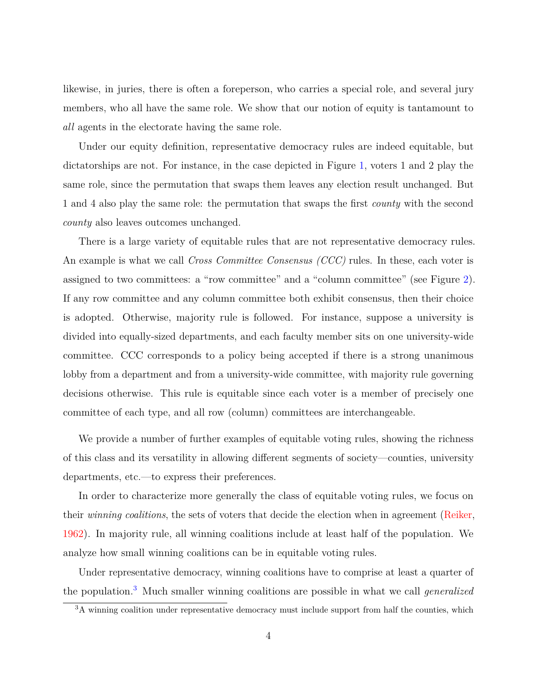likewise, in juries, there is often a foreperson, who carries a special role, and several jury members, who all have the same role. We show that our notion of equity is tantamount to *all* agents in the electorate having the same role.

Under our equity definition, representative democracy rules are indeed equitable, but dictatorships are not. For instance, in the case depicted in Figure [1,](#page-2-0) voters 1 and 2 play the same role, since the permutation that swaps them leaves any election result unchanged. But 1 and 4 also play the same role: the permutation that swaps the first *county* with the second *county* also leaves outcomes unchanged.

There is a large variety of equitable rules that are not representative democracy rules. An example is what we call *Cross Committee Consensus (CCC)* rules. In these, each voter is assigned to two committees: a "row committee" and a "column committee" (see Figure [2\)](#page-4-0). If any row committee and any column committee both exhibit consensus, then their choice is adopted. Otherwise, majority rule is followed. For instance, suppose a university is divided into equally-sized departments, and each faculty member sits on one university-wide committee. CCC corresponds to a policy being accepted if there is a strong unanimous lobby from a department and from a university-wide committee, with majority rule governing decisions otherwise. This rule is equitable since each voter is a member of precisely one committee of each type, and all row (column) committees are interchangeable.

We provide a number of further examples of equitable voting rules, showing the richness of this class and its versatility in allowing different segments of society—counties, university departments, etc.—to express their preferences.

In order to characterize more generally the class of equitable voting rules, we focus on their *winning coalitions*, the sets of voters that decide the election when in agreement [\(Reiker,](#page-41-2) [1962\)](#page-41-2). In majority rule, all winning coalitions include at least half of the population. We analyze how small winning coalitions can be in equitable voting rules.

Under representative democracy, winning coalitions have to comprise at least a quarter of the population.[3](#page-3-0) Much smaller winning coalitions are possible in what we call *generalized*

<span id="page-3-0"></span><sup>&</sup>lt;sup>3</sup>A winning coalition under representative democracy must include support from half the counties, which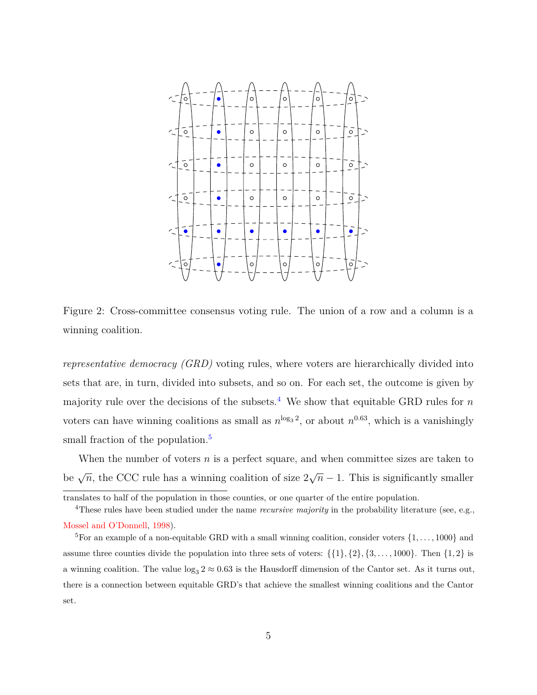<span id="page-4-0"></span>

Figure 2: Cross-committee consensus voting rule. The union of a row and a column is a winning coalition.

*representative democracy (GRD)* voting rules, where voters are hierarchically divided into sets that are, in turn, divided into subsets, and so on. For each set, the outcome is given by majority rule over the decisions of the subsets.<sup>[4](#page-4-1)</sup> We show that equitable GRD rules for  $n$ voters can have winning coalitions as small as  $n^{\log_3 2}$ , or about  $n^{0.63}$ , which is a vanishingly small fraction of the population.<sup>[5](#page-4-2)</sup>

When the number of voters *n* is a perfect square, and when committee sizes are taken to be  $\sqrt{n}$ , the CCC rule has a winning coalition of size 2 √  $\overline{n}$  − 1. This is significantly smaller

<span id="page-4-1"></span>translates to half of the population in those counties, or one quarter of the entire population.

<sup>&</sup>lt;sup>4</sup>These rules have been studied under the name *recursive majority* in the probability literature (see, e.g., [Mossel and O'Donnell,](#page-41-3) [1998\)](#page-41-3).

<span id="page-4-2"></span><sup>&</sup>lt;sup>5</sup>For an example of a non-equitable GRD with a small winning coalition, consider voters  $\{1, \ldots, 1000\}$  and assume three counties divide the population into three sets of voters:  $\{\{1\},\{2\},\{3,\ldots,1000\}$ . Then  $\{1,2\}$  is a winning coalition. The value  $\log_3 2 \approx 0.63$  is the Hausdorff dimension of the Cantor set. As it turns out, there is a connection between equitable GRD's that achieve the smallest winning coalitions and the Cantor set.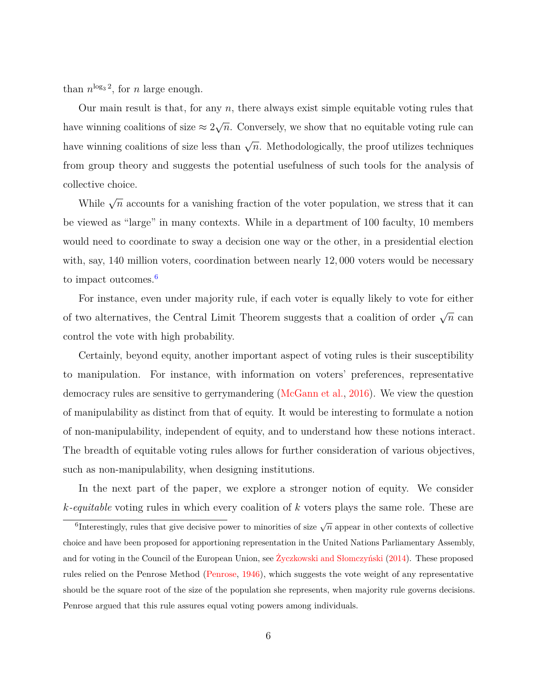than  $n^{\log_3 2}$ , for *n* large enough.

Our main result is that, for any *n*, there always exist simple equitable voting rules that have winning coalitions of size  $\approx 2$ √ *n*. Conversely, we show that no equitable voting rule can have winning coalitions of size less than  $\sqrt{n}$ . Methodologically, the proof utilizes techniques from group theory and suggests the potential usefulness of such tools for the analysis of collective choice.

While  $\sqrt{n}$  accounts for a vanishing fraction of the voter population, we stress that it can be viewed as "large" in many contexts. While in a department of 100 faculty, 10 members would need to coordinate to sway a decision one way or the other, in a presidential election with, say, 140 million voters, coordination between nearly 12*,* 000 voters would be necessary to impact outcomes.<sup>[6](#page-5-0)</sup>

For instance, even under majority rule, if each voter is equally likely to vote for either of two alternatives, the Central Limit Theorem suggests that a coalition of order  $\sqrt{n}$  can control the vote with high probability.

Certainly, beyond equity, another important aspect of voting rules is their susceptibility to manipulation. For instance, with information on voters' preferences, representative democracy rules are sensitive to gerrymandering [\(McGann et al.,](#page-41-4) [2016\)](#page-41-4). We view the question of manipulability as distinct from that of equity. It would be interesting to formulate a notion of non-manipulability, independent of equity, and to understand how these notions interact. The breadth of equitable voting rules allows for further consideration of various objectives, such as non-manipulability, when designing institutions.

In the next part of the paper, we explore a stronger notion of equity. We consider *k-equitable* voting rules in which every coalition of *k* voters plays the same role. These are

<span id="page-5-0"></span> $\overline{\text{6}}$ Interestingly, rules that give decisive power to minorities of size  $\sqrt{n}$  appear in other contexts of collective choice and have been proposed for apportioning representation in the United Nations Parliamentary Assembly, and for voting in the Council of the European Union, see [Życzkowski and Słomczyński](#page-42-0) [\(2014\)](#page-42-0). These proposed rules relied on the Penrose Method [\(Penrose,](#page-41-5) [1946\)](#page-41-5), which suggests the vote weight of any representative should be the square root of the size of the population she represents, when majority rule governs decisions. Penrose argued that this rule assures equal voting powers among individuals.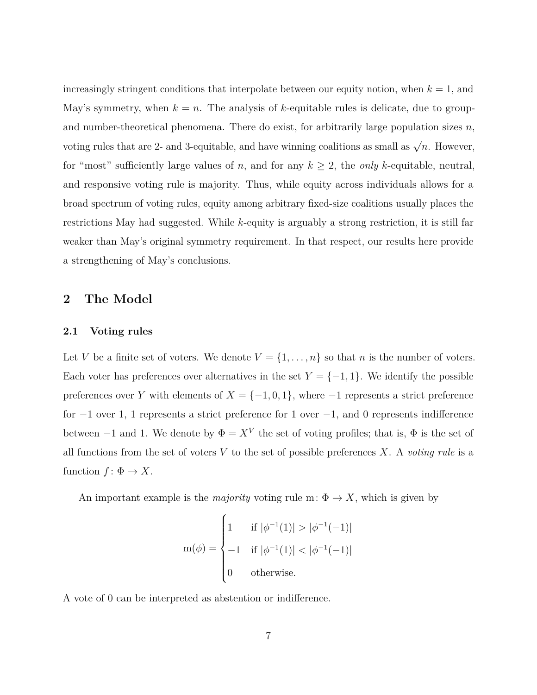increasingly stringent conditions that interpolate between our equity notion, when  $k = 1$ , and May's symmetry, when  $k = n$ . The analysis of k-equitable rules is delicate, due to groupand number-theoretical phenomena. There do exist, for arbitrarily large population sizes *n*, voting rules that are 2- and 3-equitable, and have winning coalitions as small as  $\sqrt{n}$ . However, for "most" sufficiently large values of *n*, and for any  $k \geq 2$ , the *only k*-equitable, neutral, and responsive voting rule is majority. Thus, while equity across individuals allows for a broad spectrum of voting rules, equity among arbitrary fixed-size coalitions usually places the restrictions May had suggested. While *k*-equity is arguably a strong restriction, it is still far weaker than May's original symmetry requirement. In that respect, our results here provide a strengthening of May's conclusions.

## **2 The Model**

### **2.1 Voting rules**

Let *V* be a finite set of voters. We denote  $V = \{1, \ldots, n\}$  so that *n* is the number of voters. Each voter has preferences over alternatives in the set  $Y = \{-1, 1\}$ . We identify the possible preferences over *Y* with elements of  $X = \{-1, 0, 1\}$ , where  $-1$  represents a strict preference for  $-1$  over 1, 1 represents a strict preference for 1 over  $-1$ , and 0 represents indifference between  $-1$  and 1. We denote by  $\Phi = X^V$  the set of voting profiles; that is,  $\Phi$  is the set of all functions from the set of voters  $V$  to the set of possible preferences  $X$ . A *voting rule* is a function  $f: \Phi \to X$ .

An important example is the *majority* voting rule m:  $\Phi \to X$ , which is given by

$$
m(\phi) = \begin{cases} 1 & \text{if } |\phi^{-1}(1)| > |\phi^{-1}(-1)| \\ -1 & \text{if } |\phi^{-1}(1)| < |\phi^{-1}(-1)| \\ 0 & \text{otherwise.} \end{cases}
$$

A vote of 0 can be interpreted as abstention or indifference.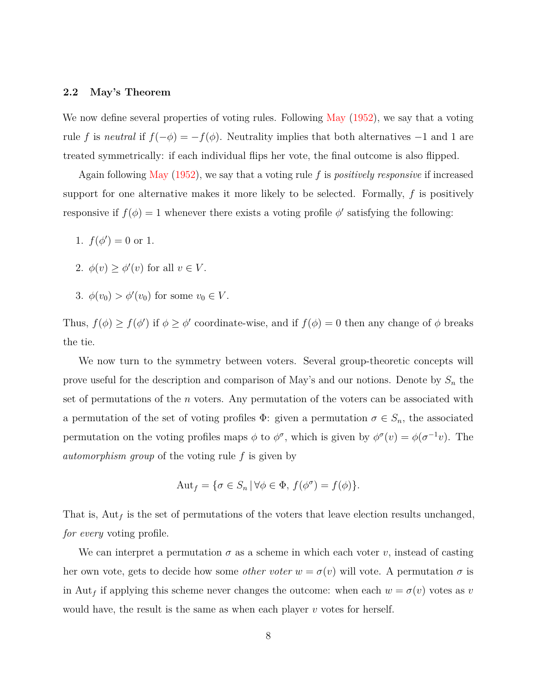#### **2.2 May's Theorem**

We now define several properties of voting rules. Following [May](#page-41-0) [\(1952\)](#page-41-0), we say that a voting rule *f* is *neutral* if  $f(-\phi) = -f(\phi)$ . Neutrality implies that both alternatives -1 and 1 are treated symmetrically: if each individual flips her vote, the final outcome is also flipped.

Again following [May](#page-41-0) [\(1952\)](#page-41-0), we say that a voting rule *f* is *positively responsive* if increased support for one alternative makes it more likely to be selected. Formally, *f* is positively responsive if  $f(\phi) = 1$  whenever there exists a voting profile  $\phi'$  satisfying the following:

- 1.  $f(\phi') = 0$  or 1.
- 2.  $\phi(v) \geq \phi'(v)$  for all  $v \in V$ .
- 3.  $\phi(v_0) > \phi'(v_0)$  for some  $v_0 \in V$ .

Thus,  $f(\phi) \geq f(\phi')$  if  $\phi \geq \phi'$  coordinate-wise, and if  $f(\phi) = 0$  then any change of  $\phi$  breaks the tie.

We now turn to the symmetry between voters. Several group-theoretic concepts will prove useful for the description and comparison of May's and our notions. Denote by *S<sup>n</sup>* the set of permutations of the *n* voters. Any permutation of the voters can be associated with a permutation of the set of voting profiles  $\Phi$ : given a permutation  $\sigma \in S_n$ , the associated permutation on the voting profiles maps  $\phi$  to  $\phi^{\sigma}$ , which is given by  $\phi^{\sigma}(v) = \phi(\sigma^{-1}v)$ . The *automorphism group* of the voting rule *f* is given by

$$
Aut_f = \{ \sigma \in S_n \, | \, \forall \phi \in \Phi, \, f(\phi^{\sigma}) = f(\phi) \}.
$$

That is,  $\text{Aut}_f$  is the set of permutations of the voters that leave election results unchanged, *for every* voting profile.

We can interpret a permutation  $\sigma$  as a scheme in which each voter *v*, instead of casting her own vote, gets to decide how some *other voter*  $w = \sigma(v)$  will vote. A permutation  $\sigma$  is in Aut<sub>f</sub> if applying this scheme never changes the outcome: when each  $w = \sigma(v)$  votes as *v* would have, the result is the same as when each player *v* votes for herself.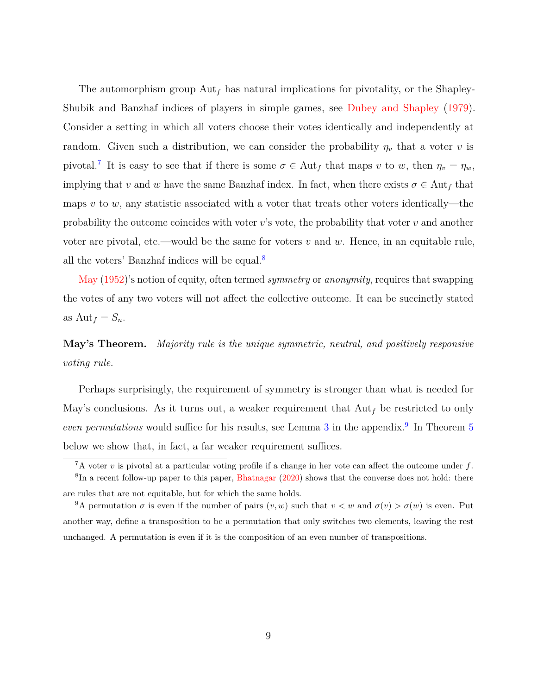The automorphism group Aut*<sup>f</sup>* has natural implications for pivotality, or the Shapley-Shubik and Banzhaf indices of players in simple games, see [Dubey and Shapley](#page-40-3) [\(1979\)](#page-40-3). Consider a setting in which all voters choose their votes identically and independently at random. Given such a distribution, we can consider the probability  $\eta_v$  that a voter *v* is pivotal.<sup>[7](#page-8-0)</sup> It is easy to see that if there is some  $\sigma \in$  Aut<sub>f</sub> that maps *v* to *w*, then  $\eta_v = \eta_w$ , implying that *v* and *w* have the same Banzhaf index. In fact, when there exists  $\sigma \in \text{Aut}_f$  that maps *v* to *w*, any statistic associated with a voter that treats other voters identically—the probability the outcome coincides with voter *v*'s vote, the probability that voter *v* and another voter are pivotal, etc.—would be the same for voters *v* and *w*. Hence, in an equitable rule, all the voters' Banzhaf indices will be equal.[8](#page-8-1)

[May](#page-41-0) [\(1952\)](#page-41-0)'s notion of equity, often termed *symmetry* or *anonymity*, requires that swapping the votes of any two voters will not affect the collective outcome. It can be succinctly stated as  $\text{Aut}_f = S_n$ .

**May's Theorem.** *Majority rule is the unique symmetric, neutral, and positively responsive voting rule.*

Perhaps surprisingly, the requirement of symmetry is stronger than what is needed for May's conclusions. As it turns out, a weaker requirement that  $\text{Aut}_f$  be restricted to only *even permutations* would suffice for his results, see Lemma [3](#page-31-0) in the appendix.<sup>[9](#page-8-2)</sup> In Theorem [5](#page-20-0) below we show that, in fact, a far weaker requirement suffices.

<span id="page-8-1"></span><span id="page-8-0"></span> $\sqrt{7}$ A voter *v* is pivotal at a particular voting profile if a change in her vote can affect the outcome under f.

 ${}^{8}$ In a recent follow-up paper to this paper, [Bhatnagar](#page-40-4) [\(2020\)](#page-40-4) shows that the converse does not hold: there are rules that are not equitable, but for which the same holds.

<span id="page-8-2"></span><sup>&</sup>lt;sup>9</sup>A permutation  $\sigma$  is even if the number of pairs  $(v, w)$  such that  $v < w$  and  $\sigma(v) > \sigma(w)$  is even. Put another way, define a transposition to be a permutation that only switches two elements, leaving the rest unchanged. A permutation is even if it is the composition of an even number of transpositions.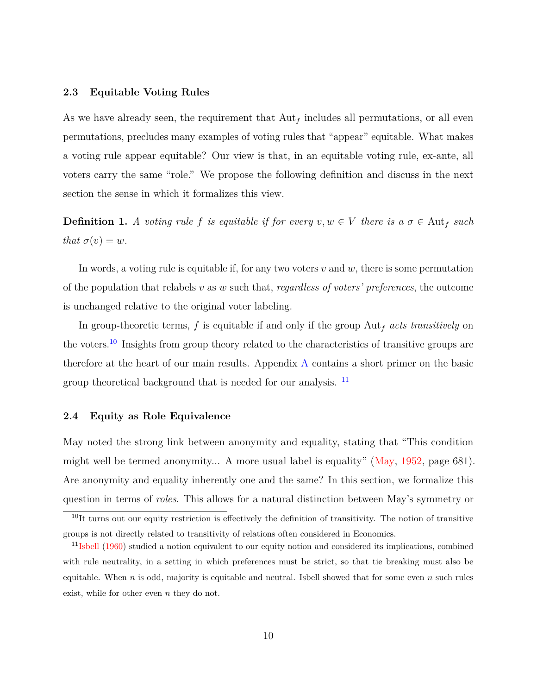#### **2.3 Equitable Voting Rules**

As we have already seen, the requirement that  $\text{Aut}_f$  includes all permutations, or all even permutations, precludes many examples of voting rules that "appear" equitable. What makes a voting rule appear equitable? Our view is that, in an equitable voting rule, ex-ante, all voters carry the same "role." We propose the following definition and discuss in the next section the sense in which it formalizes this view.

**Definition 1.** *A voting rule f is equitable if for every*  $v, w \in V$  *there is a*  $\sigma \in$  Aut<sub>*f*</sub> *such that*  $\sigma(v) = w$ *.* 

In words, a voting rule is equitable if, for any two voters *v* and *w*, there is some permutation of the population that relabels *v* as *w* such that, *regardless of voters' preferences*, the outcome is unchanged relative to the original voter labeling.

In group-theoretic terms, *f* is equitable if and only if the group Aut*<sup>f</sup> acts transitively* on the voters.[10](#page-9-1) Insights from group theory related to the characteristics of transitive groups are therefore at the heart of our main results. Appendix [A](#page-24-0) contains a short primer on the basic group theoretical background that is needed for our analysis. <sup>[11](#page-9-2)</sup>

### <span id="page-9-0"></span>**2.4 Equity as Role Equivalence**

May noted the strong link between anonymity and equality, stating that "This condition might well be termed anonymity... A more usual label is equality" [\(May,](#page-41-0) [1952,](#page-41-0) page 681). Are anonymity and equality inherently one and the same? In this section, we formalize this question in terms of *roles*. This allows for a natural distinction between May's symmetry or

<span id="page-9-1"></span> $10$ It turns out our equity restriction is effectively the definition of transitivity. The notion of transitive groups is not directly related to transitivity of relations often considered in Economics.

<span id="page-9-2"></span> $11$ <sub>[Isbell](#page-40-5)</sub> [\(1960\)](#page-40-5) studied a notion equivalent to our equity notion and considered its implications, combined with rule neutrality, in a setting in which preferences must be strict, so that tie breaking must also be equitable. When *n* is odd, majority is equitable and neutral. Isbell showed that for some even *n* such rules exist, while for other even *n* they do not.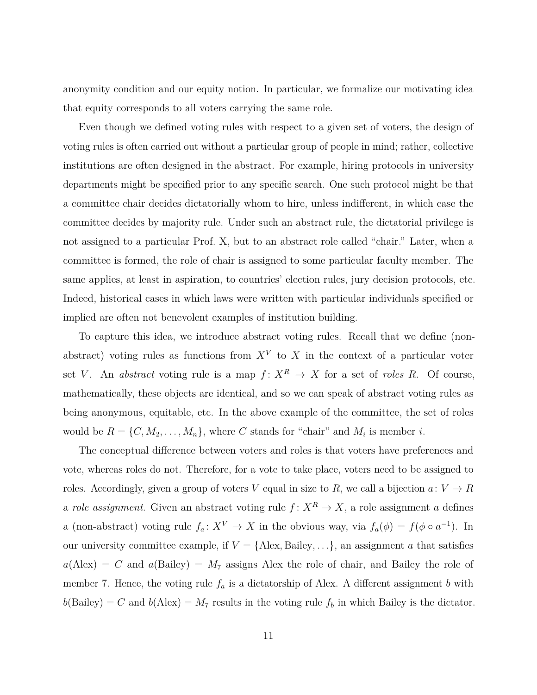anonymity condition and our equity notion. In particular, we formalize our motivating idea that equity corresponds to all voters carrying the same role.

Even though we defined voting rules with respect to a given set of voters, the design of voting rules is often carried out without a particular group of people in mind; rather, collective institutions are often designed in the abstract. For example, hiring protocols in university departments might be specified prior to any specific search. One such protocol might be that a committee chair decides dictatorially whom to hire, unless indifferent, in which case the committee decides by majority rule. Under such an abstract rule, the dictatorial privilege is not assigned to a particular Prof. X, but to an abstract role called "chair." Later, when a committee is formed, the role of chair is assigned to some particular faculty member. The same applies, at least in aspiration, to countries' election rules, jury decision protocols, etc. Indeed, historical cases in which laws were written with particular individuals specified or implied are often not benevolent examples of institution building.

To capture this idea, we introduce abstract voting rules. Recall that we define (nonabstract) voting rules as functions from  $X^V$  to  $X$  in the context of a particular voter set *V*. An *abstract* voting rule is a map  $f: X^R \to X$  for a set of *roles R*. Of course, mathematically, these objects are identical, and so we can speak of abstract voting rules as being anonymous, equitable, etc. In the above example of the committee, the set of roles would be  $R = \{C, M_2, \ldots, M_n\}$ , where *C* stands for "chair" and  $M_i$  is member *i*.

The conceptual difference between voters and roles is that voters have preferences and vote, whereas roles do not. Therefore, for a vote to take place, voters need to be assigned to roles. Accordingly, given a group of voters *V* equal in size to *R*, we call a bijection  $a: V \to R$ a *role assignment*. Given an abstract voting rule  $f: X^R \to X$ , a role assignment *a* defines a (non-abstract) voting rule  $f_a: X^V \to X$  in the obvious way, via  $f_a(\phi) = f(\phi \circ a^{-1})$ . In our university committee example, if  $V = \{$ Alex, Bailey, ..., $\}$ , an assignment *a* that satisfies  $a(\text{Alex}) = C$  and  $a(\text{Bailey}) = M_7$  assigns Alex the role of chair, and Bailey the role of member 7. Hence, the voting rule  $f_a$  is a dictatorship of Alex. A different assignment *b* with  $b(Bailey) = C$  and  $b(Alex) = M_7$  results in the voting rule  $f_b$  in which Bailey is the dictator.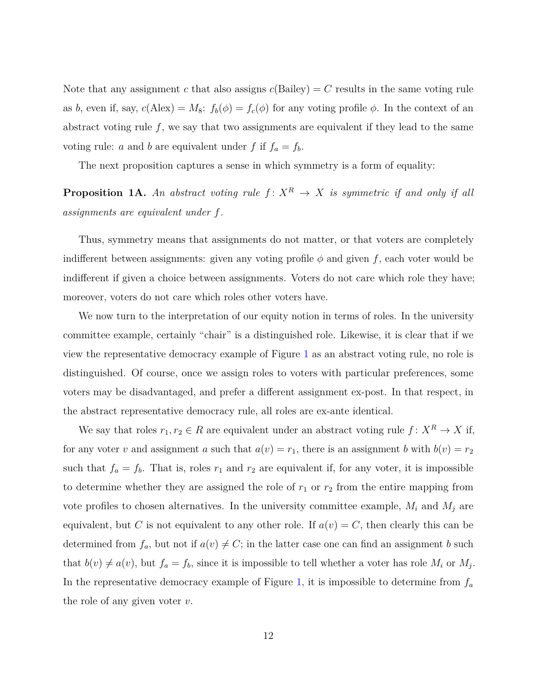Note that any assignment *c* that also assigns  $c(Bailey) = C$  results in the same voting rule as *b*, even if, say,  $c(Alex) = M_8$ :  $f_b(\phi) = f_c(\phi)$  for any voting profile  $\phi$ . In the context of an abstract voting rule  $f$ , we say that two assignments are equivalent if they lead to the same voting rule: *a* and *b* are equivalent under *f* if  $f_a = f_b$ .

The next proposition captures a sense in which symmetry is a form of equality:

<span id="page-11-0"></span>**Proposition 1A.** An abstract voting rule  $f: X^R \to X$  is symmetric if and only if all *assignments are equivalent under f.*

Thus, symmetry means that assignments do not matter, or that voters are completely indifferent between assignments: given any voting profile  $\phi$  and given f, each voter would be indifferent if given a choice between assignments. Voters do not care which role they have; moreover, voters do not care which roles other voters have.

We now turn to the interpretation of our equity notion in terms of roles. In the university committee example, certainly "chair" is a distinguished role. Likewise, it is clear that if we view the representative democracy example of Figure [1](#page-2-0) as an abstract voting rule, no role is distinguished. Of course, once we assign roles to voters with particular preferences, some voters may be disadvantaged, and prefer a different assignment ex-post. In that respect, in the abstract representative democracy rule, all roles are ex-ante identical.

We say that roles  $r_1, r_2 \in R$  are equivalent under an abstract voting rule  $f: X^R \to X$  if, for any voter *v* and assignment *a* such that  $a(v) = r_1$ , there is an assignment *b* with  $b(v) = r_2$ such that  $f_a = f_b$ . That is, roles  $r_1$  and  $r_2$  are equivalent if, for any voter, it is impossible to determine whether they are assigned the role of  $r_1$  or  $r_2$  from the entire mapping from vote profiles to chosen alternatives. In the university committee example,  $M_i$  and  $M_j$  are equivalent, but *C* is not equivalent to any other role. If  $a(v) = C$ , then clearly this can be determined from  $f_a$ , but not if  $a(v) \neq C$ ; in the latter case one can find an assignment *b* such that  $b(v) \neq a(v)$ , but  $f_a = f_b$ , since it is impossible to tell whether a voter has role  $M_i$  or  $M_j$ . In the representative democracy example of Figure [1,](#page-2-0) it is impossible to determine from  $f_a$ the role of any given voter *v*.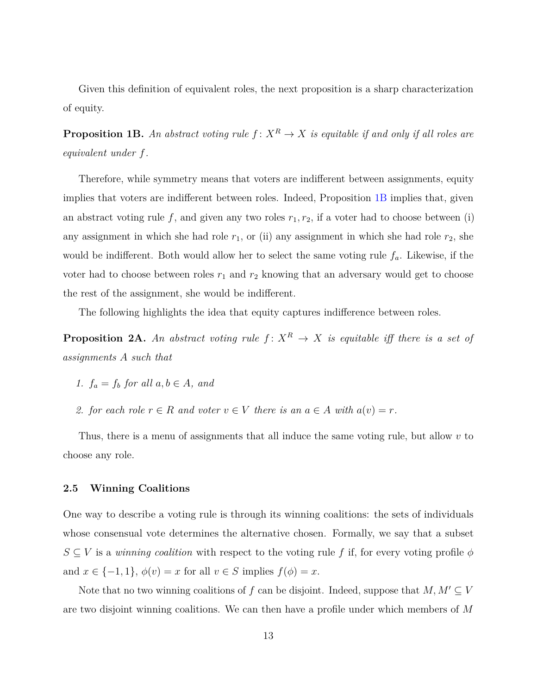Given this definition of equivalent roles, the next proposition is a sharp characterization of equity.

<span id="page-12-0"></span>**Proposition 1B.** An abstract voting rule  $f: X^R \to X$  is equitable if and only if all roles are *equivalent under f.*

Therefore, while symmetry means that voters are indifferent between assignments, equity implies that voters are indifferent between roles. Indeed, Proposition [1B](#page-12-0) implies that, given an abstract voting rule  $f$ , and given any two roles  $r_1, r_2$ , if a voter had to choose between (i) any assignment in which she had role  $r_1$ , or (ii) any assignment in which she had role  $r_2$ , she would be indifferent. Both would allow her to select the same voting rule *fa*. Likewise, if the voter had to choose between roles  $r_1$  and  $r_2$  knowing that an adversary would get to choose the rest of the assignment, she would be indifferent.

The following highlights the idea that equity captures indifference between roles.

<span id="page-12-1"></span>**Proposition 2A.** An abstract voting rule  $f: X^R \to X$  is equitable iff there is a set of *assignments A such that*

- *1.*  $f_a = f_b$  *for all*  $a, b \in A$ *, and*
- *2. for each role*  $r \in R$  *and voter*  $v \in V$  *there is an*  $a \in A$  *with*  $a(v) = r$ *.*

Thus, there is a menu of assignments that all induce the same voting rule, but allow *v* to choose any role.

## **2.5 Winning Coalitions**

One way to describe a voting rule is through its winning coalitions: the sets of individuals whose consensual vote determines the alternative chosen. Formally, we say that a subset  $S \subseteq V$  is a *winning coalition* with respect to the voting rule f if, for every voting profile  $\phi$ and  $x \in \{-1, 1\}$ ,  $\phi(v) = x$  for all  $v \in S$  implies  $f(\phi) = x$ .

Note that no two winning coalitions of  $f$  can be disjoint. Indeed, suppose that  $M, M' \subseteq V$ are two disjoint winning coalitions. We can then have a profile under which members of *M*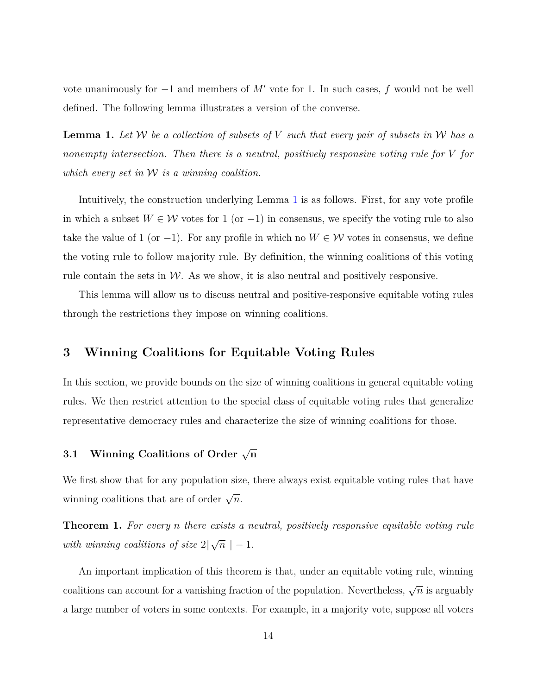vote unanimously for  $-1$  and members of  $M'$  vote for 1. In such cases,  $f$  would not be well defined. The following lemma illustrates a version of the converse.

<span id="page-13-0"></span>**Lemma 1.** Let W be a collection of subsets of V such that every pair of subsets in W has a *nonempty intersection. Then there is a neutral, positively responsive voting rule for V for which every set in* W *is a winning coalition.*

Intuitively, the construction underlying Lemma [1](#page-13-0) is as follows. First, for any vote profile in which a subset  $W \in \mathcal{W}$  votes for 1 (or -1) in consensus, we specify the voting rule to also take the value of 1 (or -1). For any profile in which no  $W \in \mathcal{W}$  votes in consensus, we define the voting rule to follow majority rule. By definition, the winning coalitions of this voting rule contain the sets in  $W$ . As we show, it is also neutral and positively responsive.

This lemma will allow us to discuss neutral and positive-responsive equitable voting rules through the restrictions they impose on winning coalitions.

## <span id="page-13-2"></span>**3 Winning Coalitions for Equitable Voting Rules**

In this section, we provide bounds on the size of winning coalitions in general equitable voting rules. We then restrict attention to the special class of equitable voting rules that generalize representative democracy rules and characterize the size of winning coalitions for those.

# $3.1$  **Winning Coalitions of Order**  $\sqrt{n}$

We first show that for any population size, there always exist equitable voting rules that have winning coalitions that are of order  $\sqrt{n}$ .

<span id="page-13-1"></span>**Theorem 1.** *For every n there exists a neutral, positively responsive equitable voting rule with winning coalitions of size*  $2\lceil$ √  $\overline{n}$ ] - 1*.* 

An important implication of this theorem is that, under an equitable voting rule, winning coalitions can account for a vanishing fraction of the population. Nevertheless,  $\sqrt{n}$  is arguably a large number of voters in some contexts. For example, in a majority vote, suppose all voters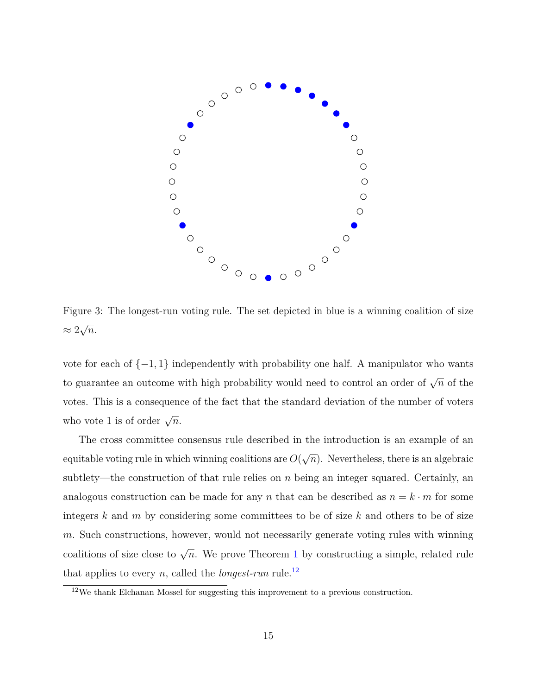<span id="page-14-1"></span>

Figure 3: The longest-run voting rule. The set depicted in blue is a winning coalition of size  $\approx 2$ √ *n*.

vote for each of {−1*,* 1} independently with probability one half. A manipulator who wants to guarantee an outcome with high probability would need to control an order of  $\sqrt{n}$  of the votes. This is a consequence of the fact that the standard deviation of the number of voters who vote 1 is of order  $\sqrt{n}$ .

The cross committee consensus rule described in the introduction is an example of an equitable voting rule in which winning coalitions are *O*( √  $\overline{n}$ ). Nevertheless, there is an algebraic subtlety—the construction of that rule relies on *n* being an integer squared. Certainly, an analogous construction can be made for any *n* that can be described as  $n = k \cdot m$  for some integers *k* and *m* by considering some committees to be of size *k* and others to be of size *m*. Such constructions, however, would not necessarily generate voting rules with winning coalitions of size close to  $\sqrt{n}$ . We prove Theorem [1](#page-13-1) by constructing a simple, related rule that applies to every *n*, called the *longest-run* rule.<sup>[12](#page-14-0)</sup>

<span id="page-14-0"></span> $12$ We thank Elchanan Mossel for suggesting this improvement to a previous construction.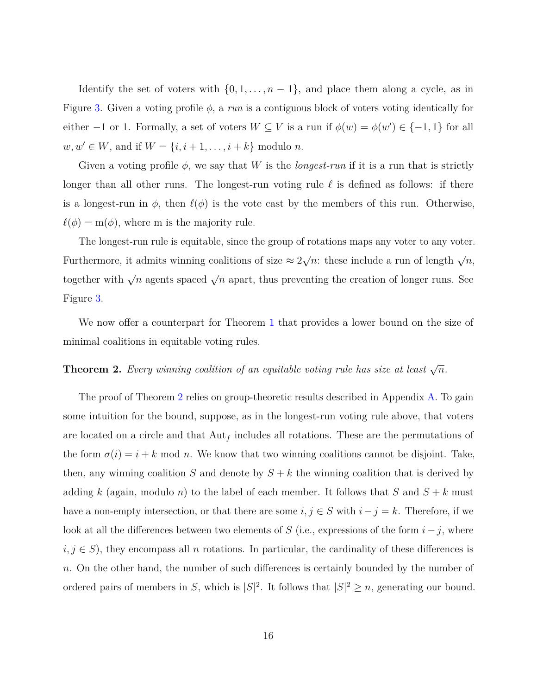Identify the set of voters with  $\{0, 1, \ldots, n-1\}$ , and place them along a cycle, as in Figure [3.](#page-14-1) Given a voting profile *φ*, a *run* is a contiguous block of voters voting identically for either  $-1$  or 1. Formally, a set of voters  $W \subseteq V$  is a run if  $\phi(w) = \phi(w') \in \{-1, 1\}$  for all  $w, w' \in W$ , and if  $W = \{i, i + 1, \ldots, i + k\}$  modulo *n*.

Given a voting profile  $\phi$ , we say that *W* is the *longest-run* if it is a run that is strictly longer than all other runs. The longest-run voting rule  $\ell$  is defined as follows: if there is a longest-run in  $\phi$ , then  $\ell(\phi)$  is the vote cast by the members of this run. Otherwise,  $\ell(\phi) = m(\phi)$ , where m is the majority rule.

The longest-run rule is equitable, since the group of rotations maps any voter to any voter. Furthermore, it admits winning coalitions of size  $\approx 2$  $\sqrt{n}$ : these include a run of length  $\sqrt{n}$ , together with  $\sqrt{n}$  agents spaced  $\sqrt{n}$  apart, thus preventing the creation of longer runs. See Figure [3.](#page-14-1)

We now offer a counterpart for Theorem [1](#page-13-1) that provides a lower bound on the size of minimal coalitions in equitable voting rules.

# <span id="page-15-0"></span>**Theorem 2.** Every winning coalition of an equitable voting rule has size at least  $\sqrt{n}$ .

The proof of Theorem [2](#page-15-0) relies on group-theoretic results described in Appendix [A.](#page-24-0) To gain some intuition for the bound, suppose, as in the longest-run voting rule above, that voters are located on a circle and that Aut*<sup>f</sup>* includes all rotations. These are the permutations of the form  $\sigma(i) = i + k \mod n$ . We know that two winning coalitions cannot be disjoint. Take, then, any winning coalition *S* and denote by  $S + k$  the winning coalition that is derived by adding *k* (again, modulo *n*) to the label of each member. It follows that *S* and  $S + k$  must have a non-empty intersection, or that there are some  $i, j \in S$  with  $i - j = k$ . Therefore, if we look at all the differences between two elements of *S* (i.e., expressions of the form  $i - j$ , where  $i, j \in S$ , they encompass all *n* rotations. In particular, the cardinality of these differences is *n*. On the other hand, the number of such differences is certainly bounded by the number of ordered pairs of members in *S*, which is  $|S|^2$ . It follows that  $|S|^2 \geq n$ , generating our bound.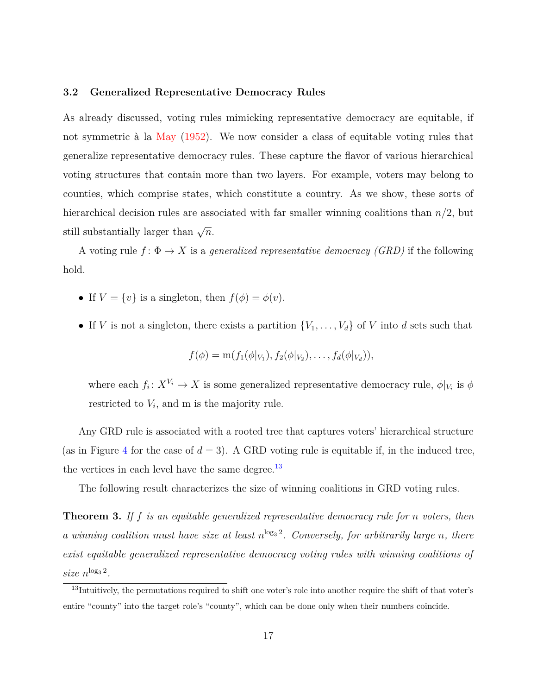#### **3.2 Generalized Representative Democracy Rules**

As already discussed, voting rules mimicking representative democracy are equitable, if not symmetric à la [May](#page-41-0) [\(1952\)](#page-41-0). We now consider a class of equitable voting rules that generalize representative democracy rules. These capture the flavor of various hierarchical voting structures that contain more than two layers. For example, voters may belong to counties, which comprise states, which constitute a country. As we show, these sorts of hierarchical decision rules are associated with far smaller winning coalitions than *n/*2, but still substantially larger than  $\sqrt{n}$ .

A voting rule  $f: \Phi \to X$  is a *generalized representative democracy (GRD)* if the following hold.

- If  $V = \{v\}$  is a singleton, then  $f(\phi) = \phi(v)$ .
- If *V* is not a singleton, there exists a partition  $\{V_1, \ldots, V_d\}$  of *V* into *d* sets such that

$$
f(\phi) = \mathbf{m}(f_1(\phi|_{V_1}), f_2(\phi|_{V_2}), \dots, f_d(\phi|_{V_d})),
$$

where each  $f_i: X^{V_i} \to X$  is some generalized representative democracy rule,  $\phi|_{V_i}$  is  $\phi$ restricted to *V<sup>i</sup>* , and m is the majority rule.

Any GRD rule is associated with a rooted tree that captures voters' hierarchical structure (as in Figure [4](#page-17-0) for the case of  $d = 3$ ). A GRD voting rule is equitable if, in the induced tree, the vertices in each level have the same degree. $^{13}$  $^{13}$  $^{13}$ 

The following result characterizes the size of winning coalitions in GRD voting rules.

<span id="page-16-1"></span>**Theorem 3.** *If f is an equitable generalized representative democracy rule for n voters, then* a winning coalition must have size at least  $n^{\log_3 2}$ . Conversely, for arbitrarily large *n*, there *exist equitable generalized representative democracy voting rules with winning coalitions of*  $size \; n^{\log_3 2}$ .

<span id="page-16-0"></span><sup>&</sup>lt;sup>13</sup>Intuitively, the permutations required to shift one voter's role into another require the shift of that voter's entire "county" into the target role's "county", which can be done only when their numbers coincide.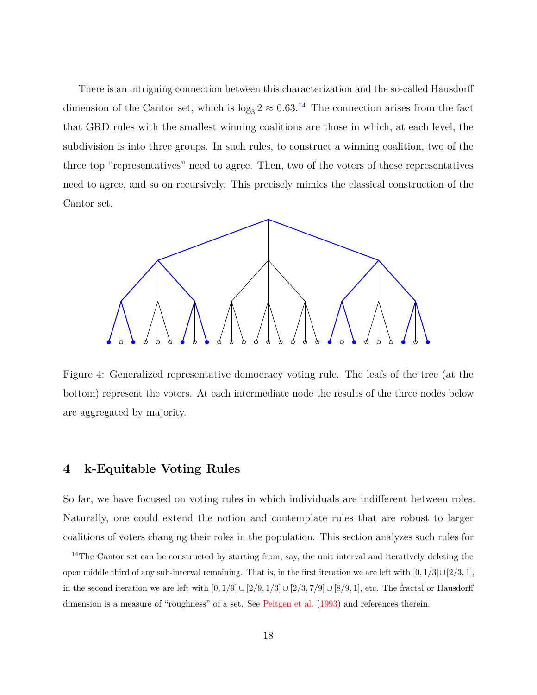There is an intriguing connection between this characterization and the so-called Hausdorff dimension of the Cantor set, which is  $\log_3 2 \approx 0.63$ .<sup>[14](#page-17-1)</sup> The connection arises from the fact that GRD rules with the smallest winning coalitions are those in which, at each level, the subdivision is into three groups. In such rules, to construct a winning coalition, two of the three top "representatives" need to agree. Then, two of the voters of these representatives need to agree, and so on recursively. This precisely mimics the classical construction of the Cantor set.

<span id="page-17-0"></span>

Figure 4: Generalized representative democracy voting rule. The leafs of the tree (at the bottom) represent the voters. At each intermediate node the results of the three nodes below are aggregated by majority.

## **4 k-Equitable Voting Rules**

So far, we have focused on voting rules in which individuals are indifferent between roles. Naturally, one could extend the notion and contemplate rules that are robust to larger coalitions of voters changing their roles in the population. This section analyzes such rules for

<span id="page-17-1"></span><sup>&</sup>lt;sup>14</sup>The Cantor set can be constructed by starting from, say, the unit interval and iteratively deleting the open middle third of any sub-interval remaining. That is, in the first iteration we are left with  $[0, 1/3] \cup [2/3, 1]$ , in the second iteration we are left with  $[0,1/9] \cup [2/9,1/3] \cup [2/3,7/9] \cup [8/9,1]$ , etc. The fractal or Hausdorff dimension is a measure of "roughness" of a set. See [Peitgen et al.](#page-41-6) [\(1993\)](#page-41-6) and references therein.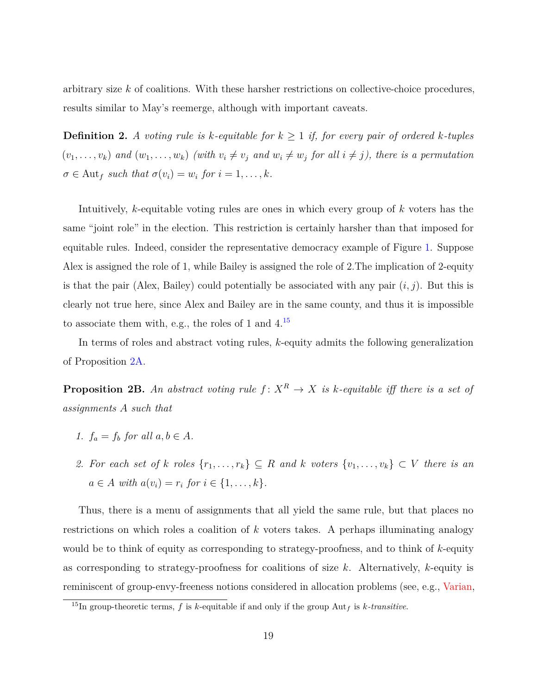arbitrary size *k* of coalitions. With these harsher restrictions on collective-choice procedures, results similar to May's reemerge, although with important caveats.

**Definition 2.** *A voting rule is*  $k$ *-equitable for*  $k \geq 1$  *if, for every pair of ordered*  $k$ *-tuples*  $(v_1,\ldots,v_k)$  and  $(w_1,\ldots,w_k)$  (with  $v_i\neq v_j$  and  $w_i\neq w_j$  for all  $i\neq j$ ), there is a permutation  $\sigma \in$  Aut<sub>f</sub> such that  $\sigma(v_i) = w_i$  for  $i = 1, \ldots, k$ .

Intuitively, *k*-equitable voting rules are ones in which every group of *k* voters has the same "joint role" in the election. This restriction is certainly harsher than that imposed for equitable rules. Indeed, consider the representative democracy example of Figure [1.](#page-2-0) Suppose Alex is assigned the role of 1, while Bailey is assigned the role of 2.The implication of 2-equity is that the pair (Alex, Bailey) could potentially be associated with any pair  $(i, j)$ . But this is clearly not true here, since Alex and Bailey are in the same county, and thus it is impossible to associate them with, e.g., the roles of 1 and  $4.^{15}$  $4.^{15}$  $4.^{15}$ 

In terms of roles and abstract voting rules, *k*-equity admits the following generalization of Proposition [2A.](#page-12-1)

<span id="page-18-1"></span>**Proposition 2B.** An abstract voting rule  $f: X^R \to X$  is k-equitable iff there is a set of *assignments A such that*

- *1.*  $f_a = f_b$  *for all*  $a, b \in A$ *.*
- 2. For each set of *k* roles  $\{r_1, \ldots, r_k\} \subseteq R$  and *k* voters  $\{v_1, \ldots, v_k\} \subset V$  there is an  $a \in A$  *with*  $a(v_i) = r_i$  *for*  $i \in \{1, ..., k\}.$

Thus, there is a menu of assignments that all yield the same rule, but that places no restrictions on which roles a coalition of *k* voters takes. A perhaps illuminating analogy would be to think of equity as corresponding to strategy-proofness, and to think of *k*-equity as corresponding to strategy-proofness for coalitions of size *k*. Alternatively, *k*-equity is reminiscent of group-envy-freeness notions considered in allocation problems (see, e.g., [Varian,](#page-42-1)

<span id="page-18-0"></span><sup>&</sup>lt;sup>15</sup>In group-theoretic terms,  $f$  is  $k$ -equitable if and only if the group Aut<sub>f</sub> is  $k$ -transitive.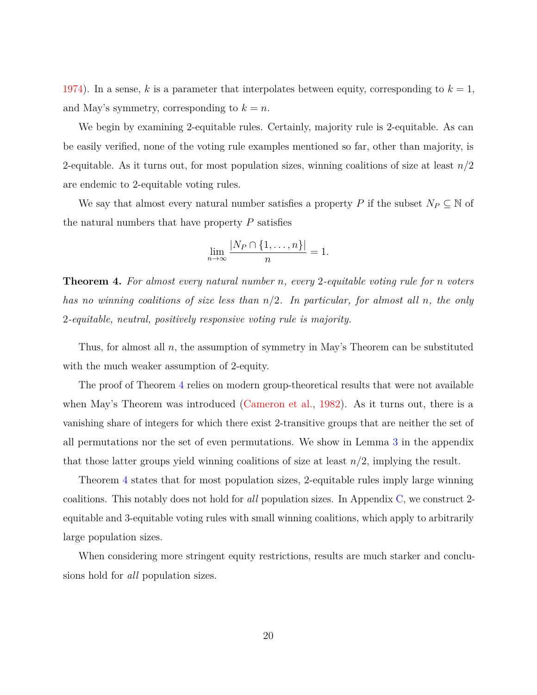[1974\)](#page-42-1). In a sense,  $k$  is a parameter that interpolates between equity, corresponding to  $k = 1$ , and May's symmetry, corresponding to  $k = n$ .

We begin by examining 2-equitable rules. Certainly, majority rule is 2-equitable. As can be easily verified, none of the voting rule examples mentioned so far, other than majority, is 2-equitable. As it turns out, for most population sizes, winning coalitions of size at least *n/*2 are endemic to 2-equitable voting rules.

We say that almost every natural number satisfies a property *P* if the subset  $N_P \subseteq \mathbb{N}$  of the natural numbers that have property *P* satisfies

$$
\lim_{n \to \infty} \frac{|N_P \cap \{1, \dots, n\}|}{n} = 1.
$$

<span id="page-19-0"></span>**Theorem 4.** *For almost every natural number n, every* 2*-equitable voting rule for n voters has no winning coalitions of size less than n/*2*. In particular, for almost all n, the only* 2*-equitable, neutral, positively responsive voting rule is majority.*

Thus, for almost all *n*, the assumption of symmetry in May's Theorem can be substituted with the much weaker assumption of 2-equity.

The proof of Theorem [4](#page-19-0) relies on modern group-theoretical results that were not available when May's Theorem was introduced [\(Cameron et al.,](#page-40-6) [1982\)](#page-40-6). As it turns out, there is a vanishing share of integers for which there exist 2-transitive groups that are neither the set of all permutations nor the set of even permutations. We show in Lemma [3](#page-31-0) in the appendix that those latter groups yield winning coalitions of size at least *n/*2, implying the result.

Theorem [4](#page-19-0) states that for most population sizes, 2-equitable rules imply large winning coalitions. This notably does not hold for *all* population sizes. In Appendix [C,](#page-35-0) we construct 2 equitable and 3-equitable voting rules with small winning coalitions, which apply to arbitrarily large population sizes.

When considering more stringent equity restrictions, results are much starker and conclusions hold for *all* population sizes.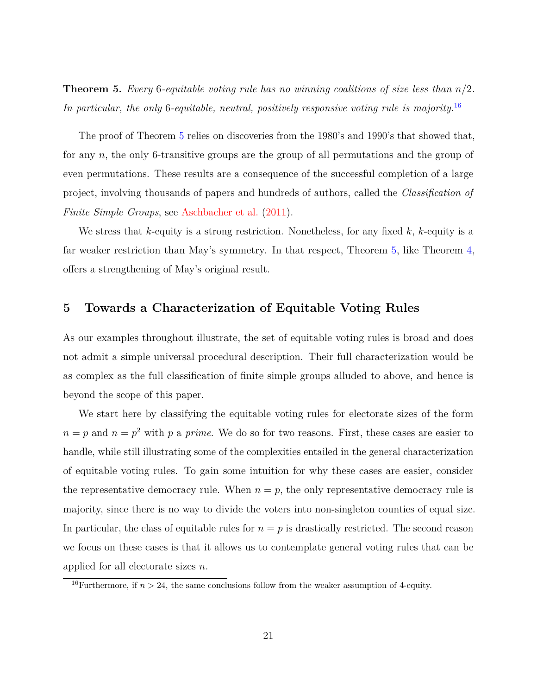<span id="page-20-0"></span>**Theorem 5.** *Every* 6*-equitable voting rule has no winning coalitions of size less than n/*2*. In particular, the only* 6*-equitable, neutral, positively responsive voting rule is majority.*[16](#page-20-1)

The proof of Theorem [5](#page-20-0) relies on discoveries from the 1980's and 1990's that showed that, for any *n*, the only 6-transitive groups are the group of all permutations and the group of even permutations. These results are a consequence of the successful completion of a large project, involving thousands of papers and hundreds of authors, called the *Classification of Finite Simple Groups*, see [Aschbacher et al.](#page-40-7) [\(2011\)](#page-40-7).

We stress that *k*-equity is a strong restriction. Nonetheless, for any fixed *k*, *k*-equity is a far weaker restriction than May's symmetry. In that respect, Theorem [5,](#page-20-0) like Theorem [4,](#page-19-0) offers a strengthening of May's original result.

## **5 Towards a Characterization of Equitable Voting Rules**

As our examples throughout illustrate, the set of equitable voting rules is broad and does not admit a simple universal procedural description. Their full characterization would be as complex as the full classification of finite simple groups alluded to above, and hence is beyond the scope of this paper.

We start here by classifying the equitable voting rules for electorate sizes of the form  $n = p$  and  $n = p<sup>2</sup>$  with *p* a *prime*. We do so for two reasons. First, these cases are easier to handle, while still illustrating some of the complexities entailed in the general characterization of equitable voting rules. To gain some intuition for why these cases are easier, consider the representative democracy rule. When  $n = p$ , the only representative democracy rule is majority, since there is no way to divide the voters into non-singleton counties of equal size. In particular, the class of equitable rules for  $n = p$  is drastically restricted. The second reason we focus on these cases is that it allows us to contemplate general voting rules that can be applied for all electorate sizes *n*.

<span id="page-20-1"></span><sup>&</sup>lt;sup>16</sup>Furthermore, if  $n > 24$ , the same conclusions follow from the weaker assumption of 4-equity.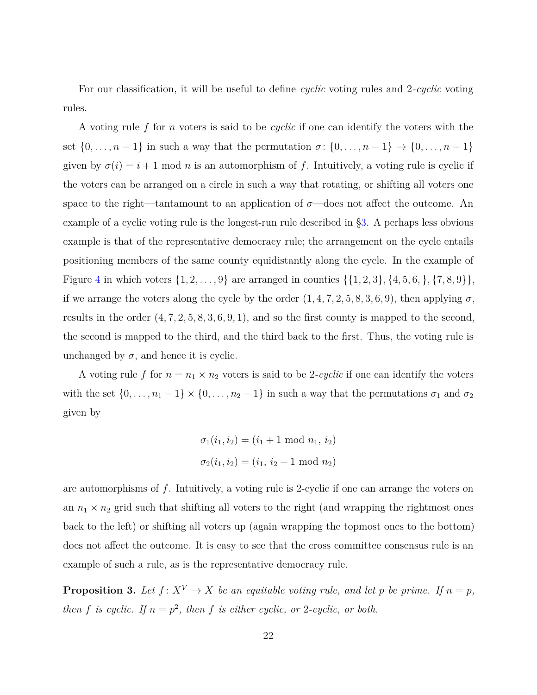For our classification, it will be useful to define *cyclic* voting rules and 2*-cyclic* voting rules.

A voting rule *f* for *n* voters is said to be *cyclic* if one can identify the voters with the set  $\{0, \ldots, n-1\}$  in such a way that the permutation  $\sigma \colon \{0, \ldots, n-1\} \to \{0, \ldots, n-1\}$ given by  $\sigma(i) = i + 1 \text{ mod } n$  is an automorphism of *f*. Intuitively, a voting rule is cyclic if the voters can be arranged on a circle in such a way that rotating, or shifting all voters one space to the right—tantamount to an application of  $\sigma$ —does not affect the outcome. An example of a cyclic voting rule is the longest-run rule described in [§3.](#page-13-2) A perhaps less obvious example is that of the representative democracy rule; the arrangement on the cycle entails positioning members of the same county equidistantly along the cycle. In the example of Figure [4](#page-17-0) in which voters  $\{1, 2, \ldots, 9\}$  are arranged in counties  $\{\{1, 2, 3\}, \{4, 5, 6, \}, \{7, 8, 9\}\},\$ if we arrange the voters along the cycle by the order  $(1, 4, 7, 2, 5, 8, 3, 6, 9)$ , then applying  $\sigma$ , results in the order (4*,* 7*,* 2*,* 5*,* 8*,* 3*,* 6*,* 9*,* 1), and so the first county is mapped to the second, the second is mapped to the third, and the third back to the first. Thus, the voting rule is unchanged by  $\sigma$ , and hence it is cyclic.

A voting rule f for  $n = n_1 \times n_2$  voters is said to be 2-cyclic if one can identify the voters with the set  $\{0, \ldots, n_1 - 1\} \times \{0, \ldots, n_2 - 1\}$  in such a way that the permutations  $\sigma_1$  and  $\sigma_2$ given by

$$
\sigma_1(i_1, i_2) = (i_1 + 1 \mod n_1, i_2)
$$

$$
\sigma_2(i_1, i_2) = (i_1, i_2 + 1 \mod n_2)
$$

are automorphisms of *f*. Intuitively, a voting rule is 2-cyclic if one can arrange the voters on an  $n_1 \times n_2$  grid such that shifting all voters to the right (and wrapping the rightmost ones back to the left) or shifting all voters up (again wrapping the topmost ones to the bottom) does not affect the outcome. It is easy to see that the cross committee consensus rule is an example of such a rule, as is the representative democracy rule.

<span id="page-21-0"></span>**Proposition 3.** Let  $f: X^V \to X$  be an equitable voting rule, and let p be prime. If  $n = p$ , *then f is cyclic.* If  $n = p^2$ , *then f is either cyclic, or* 2*-cyclic, or both.*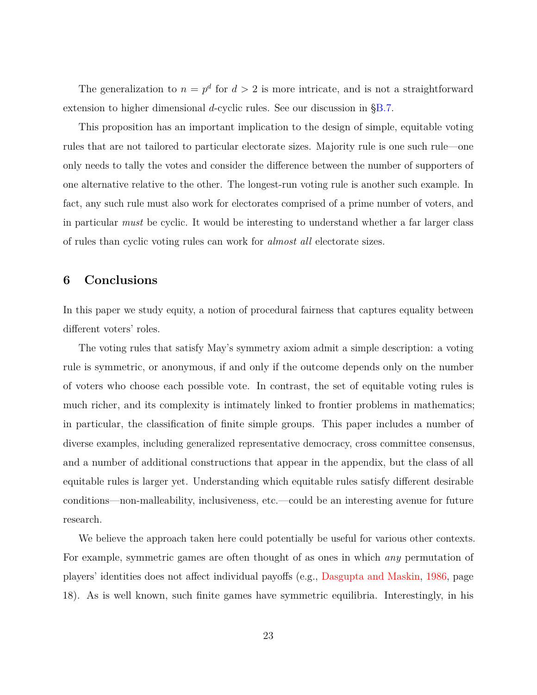The generalization to  $n = p^d$  for  $d > 2$  is more intricate, and is not a straightforward extension to higher dimensional *d*-cyclic rules. See our discussion in [§B.7.](#page-32-0)

This proposition has an important implication to the design of simple, equitable voting rules that are not tailored to particular electorate sizes. Majority rule is one such rule—one only needs to tally the votes and consider the difference between the number of supporters of one alternative relative to the other. The longest-run voting rule is another such example. In fact, any such rule must also work for electorates comprised of a prime number of voters, and in particular *must* be cyclic. It would be interesting to understand whether a far larger class of rules than cyclic voting rules can work for *almost all* electorate sizes.

## **6 Conclusions**

In this paper we study equity, a notion of procedural fairness that captures equality between different voters' roles.

The voting rules that satisfy May's symmetry axiom admit a simple description: a voting rule is symmetric, or anonymous, if and only if the outcome depends only on the number of voters who choose each possible vote. In contrast, the set of equitable voting rules is much richer, and its complexity is intimately linked to frontier problems in mathematics; in particular, the classification of finite simple groups. This paper includes a number of diverse examples, including generalized representative democracy, cross committee consensus, and a number of additional constructions that appear in the appendix, but the class of all equitable rules is larger yet. Understanding which equitable rules satisfy different desirable conditions—non-malleability, inclusiveness, etc.—could be an interesting avenue for future research.

We believe the approach taken here could potentially be useful for various other contexts. For example, symmetric games are often thought of as ones in which *any* permutation of players' identities does not affect individual payoffs (e.g., [Dasgupta and Maskin,](#page-40-8) [1986,](#page-40-8) page 18). As is well known, such finite games have symmetric equilibria. Interestingly, in his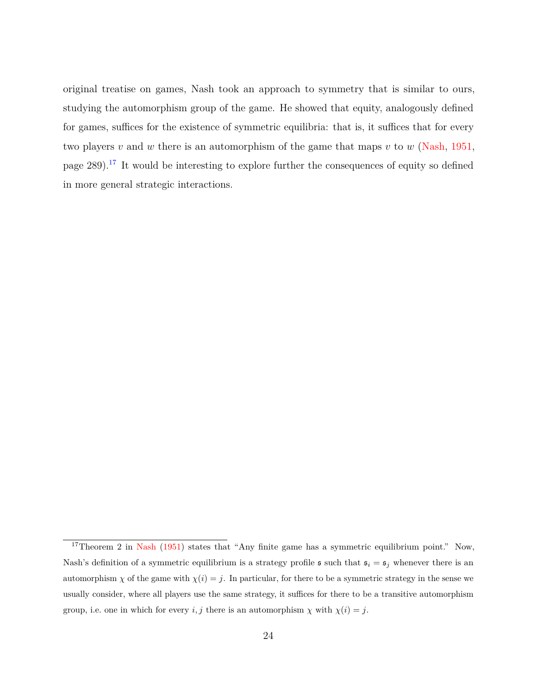original treatise on games, Nash took an approach to symmetry that is similar to ours, studying the automorphism group of the game. He showed that equity, analogously defined for games, suffices for the existence of symmetric equilibria: that is, it suffices that for every two players *v* and *w* there is an automorphism of the game that maps *v* to *w* [\(Nash,](#page-41-7) [1951,](#page-41-7) page  $289$ ).<sup>[17](#page-23-0)</sup> It would be interesting to explore further the consequences of equity so defined in more general strategic interactions.

<span id="page-23-0"></span><sup>&</sup>lt;sup>17</sup>Theorem 2 in [Nash](#page-41-7) [\(1951\)](#page-41-7) states that "Any finite game has a symmetric equilibrium point." Now, Nash's definition of a symmetric equilibrium is a strategy profile  $\mathfrak{s}$  such that  $\mathfrak{s}_i = \mathfrak{s}_j$  whenever there is an automorphism  $\chi$  of the game with  $\chi(i) = j$ . In particular, for there to be a symmetric strategy in the sense we usually consider, where all players use the same strategy, it suffices for there to be a transitive automorphism group, i.e. one in which for every *i*, *j* there is an automorphism  $\chi$  with  $\chi(i) = j$ .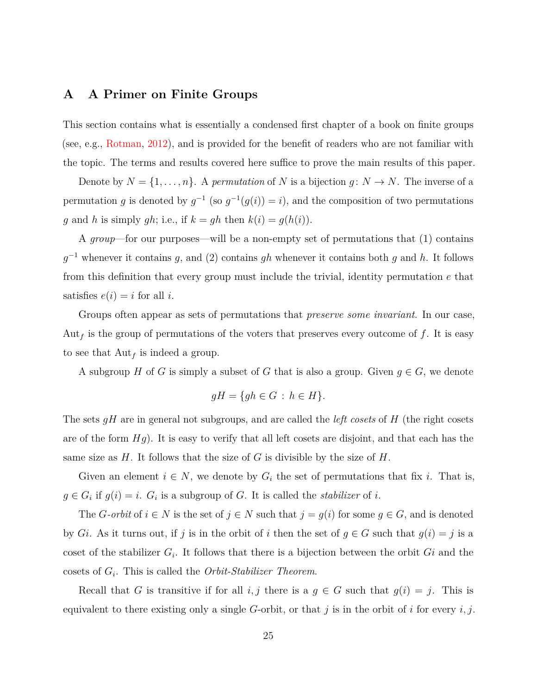## <span id="page-24-0"></span>**A A Primer on Finite Groups**

This section contains what is essentially a condensed first chapter of a book on finite groups (see, e.g., [Rotman,](#page-41-8) [2012\)](#page-41-8), and is provided for the benefit of readers who are not familiar with the topic. The terms and results covered here suffice to prove the main results of this paper.

Denote by  $N = \{1, \ldots, n\}$ . A *permutation* of *N* is a bijection  $g: N \to N$ . The inverse of a permutation *g* is denoted by  $g^{-1}$  (so  $g^{-1}(g(i)) = i$ ), and the composition of two permutations *g* and *h* is simply *gh*; i.e., if  $k = gh$  then  $k(i) = g(h(i))$ .

A *group*—for our purposes—will be a non-empty set of permutations that (1) contains *g* <sup>−</sup><sup>1</sup> whenever it contains *g*, and (2) contains *gh* whenever it contains both *g* and *h*. It follows from this definition that every group must include the trivial, identity permutation *e* that satisfies  $e(i) = i$  for all *i*.

Groups often appear as sets of permutations that *preserve some invariant*. In our case,  $Aut_f$  is the group of permutations of the voters that preserves every outcome of  $f$ . It is easy to see that Aut*<sup>f</sup>* is indeed a group.

A subgroup *H* of *G* is simply a subset of *G* that is also a group. Given  $g \in G$ , we denote

$$
gH = \{gh \in G \, : \, h \in H\}.
$$

The sets *gH* are in general not subgroups, and are called the *left cosets* of *H* (the right cosets are of the form *Hg*). It is easy to verify that all left cosets are disjoint, and that each has the same size as *H*. It follows that the size of *G* is divisible by the size of *H*.

Given an element  $i \in N$ , we denote by  $G_i$  the set of permutations that fix *i*. That is,  $g \in G_i$  if  $g(i) = i$ .  $G_i$  is a subgroup of *G*. It is called the *stabilizer* of *i*.

The *G*-orbit of  $i \in N$  is the set of  $j \in N$  such that  $j = g(i)$  for some  $g \in G$ , and is denoted by *Gi*. As it turns out, if *j* is in the orbit of *i* then the set of  $g \in G$  such that  $g(i) = j$  is a coset of the stabilizer  $G_i$ . It follows that there is a bijection between the orbit  $Gi$  and the cosets of *G<sup>i</sup>* . This is called the *Orbit-Stabilizer Theorem*.

Recall that *G* is transitive if for all *i, j* there is a  $g \in G$  such that  $g(i) = j$ . This is equivalent to there existing only a single *G*-orbit, or that *j* is in the orbit of *i* for every *i, j*.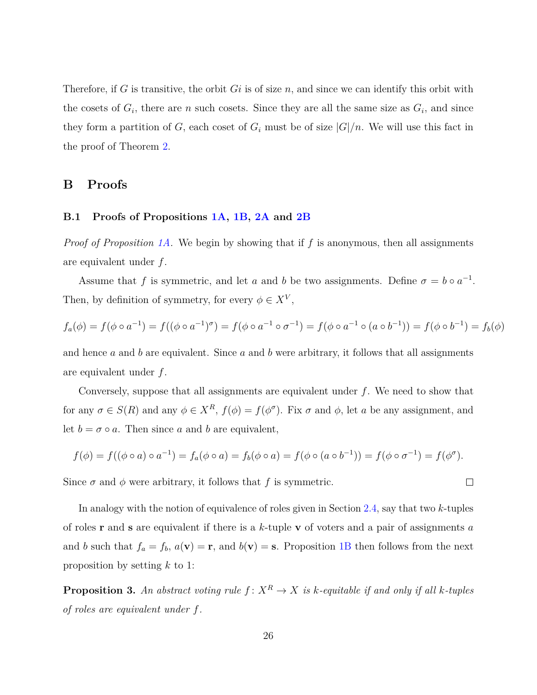Therefore, if *G* is transitive, the orbit *Gi* is of size *n*, and since we can identify this orbit with the cosets of  $G_i$ , there are *n* such cosets. Since they are all the same size as  $G_i$ , and since they form a partition of *G*, each coset of  $G_i$  must be of size  $|G|/n$ . We will use this fact in the proof of Theorem [2.](#page-15-0)

## **B Proofs**

## **B.1 Proofs of Propositions [1A,](#page-11-0) [1B,](#page-12-0) [2A](#page-12-1) and [2B](#page-18-1)**

*Proof of Proposition [1A.](#page-11-0)* We begin by showing that if *f* is anonymous, then all assignments are equivalent under *f*.

Assume that *f* is symmetric, and let *a* and *b* be two assignments. Define  $\sigma = b \circ a^{-1}$ . Then, by definition of symmetry, for every  $\phi \in X^V$ ,

$$
f_a(\phi) = f(\phi \circ a^{-1}) = f((\phi \circ a^{-1})^{\sigma}) = f(\phi \circ a^{-1} \circ \sigma^{-1}) = f(\phi \circ a^{-1} \circ (a \circ b^{-1})) = f(\phi \circ b^{-1}) = f_b(\phi)
$$

and hence *a* and *b* are equivalent. Since *a* and *b* were arbitrary, it follows that all assignments are equivalent under *f*.

Conversely, suppose that all assignments are equivalent under *f*. We need to show that for any  $\sigma \in S(R)$  and any  $\phi \in X^R$ ,  $f(\phi) = f(\phi^{\sigma})$ . Fix  $\sigma$  and  $\phi$ , let *a* be any assignment, and let  $b = \sigma \circ a$ . Then since *a* and *b* are equivalent,

$$
f(\phi) = f((\phi \circ a) \circ a^{-1}) = f_a(\phi \circ a) = f_b(\phi \circ a) = f(\phi \circ (a \circ b^{-1})) = f(\phi \circ \sigma^{-1}) = f(\phi^{\sigma}).
$$

 $\Box$ 

Since  $\sigma$  and  $\phi$  were arbitrary, it follows that f is symmetric.

In analogy with the notion of equivalence of roles given in Section [2.4,](#page-9-0) say that two *k*-tuples of roles **r** and **s** are equivalent if there is a *k*-tuple **v** of voters and a pair of assignments *a* and *b* such that  $f_a = f_b$ ,  $a(\mathbf{v}) = \mathbf{r}$ , and  $b(\mathbf{v}) = \mathbf{s}$ . Proposition [1B](#page-12-0) then follows from the next proposition by setting *k* to 1:

<span id="page-25-0"></span>**Proposition 3.** An abstract voting rule  $f: X^R \to X$  is k-equitable if and only if all k-tuples *of roles are equivalent under f.*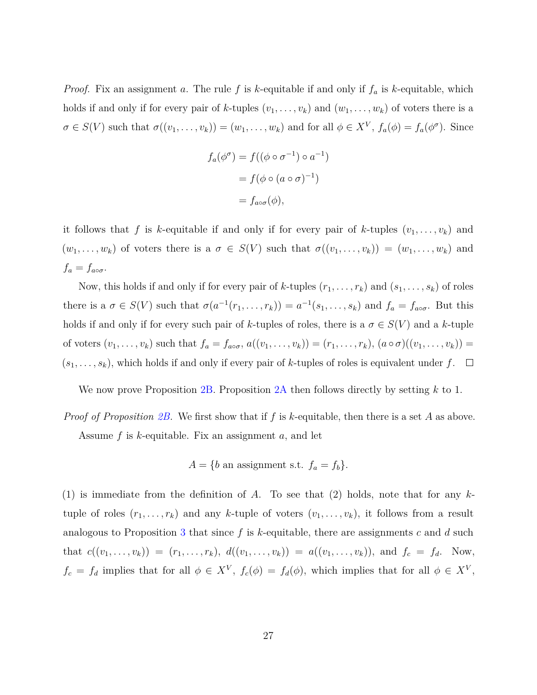*Proof.* Fix an assignment *a*. The rule *f* is *k*-equitable if and only if *f<sup>a</sup>* is *k*-equitable, which holds if and only if for every pair of *k*-tuples  $(v_1, \ldots, v_k)$  and  $(w_1, \ldots, w_k)$  of voters there is a  $\sigma \in S(V)$  such that  $\sigma((v_1,\ldots,v_k)) = (w_1,\ldots,w_k)$  and for all  $\phi \in X^V$ ,  $f_a(\phi) = f_a(\phi^{\sigma})$ . Since

$$
f_a(\phi^\sigma) = f((\phi \circ \sigma^{-1}) \circ a^{-1})
$$

$$
= f(\phi \circ (a \circ \sigma)^{-1})
$$

$$
= f_{a \circ \sigma}(\phi),
$$

it follows that *f* is *k*-equitable if and only if for every pair of *k*-tuples  $(v_1, \ldots, v_k)$  and  $(w_1, \ldots, w_k)$  of voters there is a  $\sigma \in S(V)$  such that  $\sigma((v_1, \ldots, v_k)) = (w_1, \ldots, w_k)$  and  $f_a = f_{a \circ \sigma}$ .

Now, this holds if and only if for every pair of *k*-tuples  $(r_1, \ldots, r_k)$  and  $(s_1, \ldots, s_k)$  of roles there is a  $\sigma \in S(V)$  such that  $\sigma(a^{-1}(r_1, \ldots, r_k)) = a^{-1}(s_1, \ldots, s_k)$  and  $f_a = f_{a \circ \sigma}$ . But this holds if and only if for every such pair of *k*-tuples of roles, there is a  $\sigma \in S(V)$  and a *k*-tuple of voters  $(v_1, \ldots, v_k)$  such that  $f_a = f_{a \circ \sigma}$ ,  $a((v_1, \ldots, v_k)) = (r_1, \ldots, r_k)$ ,  $(a \circ \sigma)((v_1, \ldots, v_k)) =$  $(s_1, \ldots, s_k)$ , which holds if and only if every pair of *k*-tuples of roles is equivalent under  $f$ .  $\Box$ 

We now prove Proposition [2B.](#page-18-1) Proposition [2A](#page-12-1) then follows directly by setting *k* to 1.

*Proof of Proposition [2B.](#page-18-1)* We first show that if *f* is *k*-equitable, then there is a set *A* as above. Assume *f* is *k*-equitable. Fix an assignment *a*, and let

$$
A = \{b \text{ an assignment s.t. } f_a = f_b\}.
$$

(1) is immediate from the definition of *A*. To see that (2) holds, note that for any *k*tuple of roles  $(r_1, \ldots, r_k)$  and any *k*-tuple of voters  $(v_1, \ldots, v_k)$ , it follows from a result analogous to Proposition [3](#page-25-0) that since *f* is *k*-equitable, there are assignments *c* and *d* such that  $c((v_1, ..., v_k)) = (r_1, ..., r_k), d((v_1, ..., v_k)) = a((v_1, ..., v_k)),$  and  $f_c = f_d$ . Now,  $f_c = f_d$  implies that for all  $\phi \in X^V$ ,  $f_c(\phi) = f_d(\phi)$ , which implies that for all  $\phi \in X^V$ ,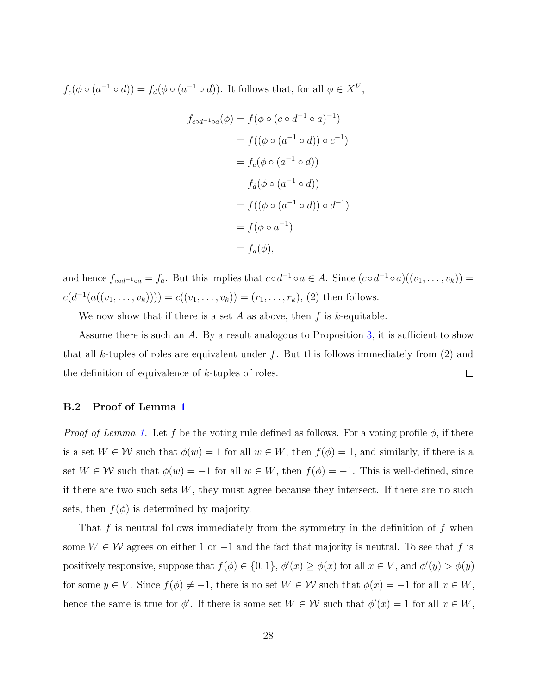$f_c(\phi \circ (a^{-1} \circ d)) = f_d(\phi \circ (a^{-1} \circ d))$ . It follows that, for all  $\phi \in X^V$ ,

$$
f_{\text{cod}^{-1}\circ a}(\phi) = f(\phi \circ (c \circ d^{-1} \circ a)^{-1})
$$
  

$$
= f((\phi \circ (a^{-1} \circ d)) \circ c^{-1})
$$
  

$$
= f_c(\phi \circ (a^{-1} \circ d))
$$
  

$$
= f_d(\phi \circ (a^{-1} \circ d))
$$
  

$$
= f((\phi \circ (a^{-1} \circ d)) \circ d^{-1})
$$
  

$$
= f(\phi \circ a^{-1})
$$
  

$$
= f_a(\phi),
$$

and hence  $f_{cod^{-1} \circ a} = f_a$ . But this implies that  $c \circ d^{-1} \circ a \in A$ . Since  $(c \circ d^{-1} \circ a)((v_1, \ldots, v_k)) =$  $c(d^{-1}(a((v_1, \ldots, v_k)))) = c((v_1, \ldots, v_k)) = (r_1, \ldots, r_k), (2)$  then follows.

We now show that if there is a set *A* as above, then *f* is *k*-equitable.

Assume there is such an *A*. By a result analogous to Proposition [3,](#page-25-0) it is sufficient to show that all *k*-tuples of roles are equivalent under *f*. But this follows immediately from (2) and the definition of equivalence of *k*-tuples of roles.  $\Box$ 

### **B.2 Proof of Lemma [1](#page-13-0)**

*Proof of Lemma [1.](#page-13-0)* Let f be the voting rule defined as follows. For a voting profile  $\phi$ , if there is a set  $W \in \mathcal{W}$  such that  $\phi(w) = 1$  for all  $w \in W$ , then  $f(\phi) = 1$ , and similarly, if there is a set  $W \in \mathcal{W}$  such that  $\phi(w) = -1$  for all  $w \in W$ , then  $f(\phi) = -1$ . This is well-defined, since if there are two such sets  $W$ , they must agree because they intersect. If there are no such sets, then  $f(\phi)$  is determined by majority.

That *f* is neutral follows immediately from the symmetry in the definition of *f* when some  $W \in \mathcal{W}$  agrees on either 1 or  $-1$  and the fact that majority is neutral. To see that f is positively responsive, suppose that  $f(\phi) \in \{0, 1\}$ ,  $\phi'(x) \ge \phi(x)$  for all  $x \in V$ , and  $\phi'(y) > \phi(y)$ for some  $y \in V$ . Since  $f(\phi) \neq -1$ , there is no set  $W \in W$  such that  $\phi(x) = -1$  for all  $x \in W$ , hence the same is true for  $\phi'$ . If there is some set  $W \in \mathcal{W}$  such that  $\phi'(x) = 1$  for all  $x \in W$ ,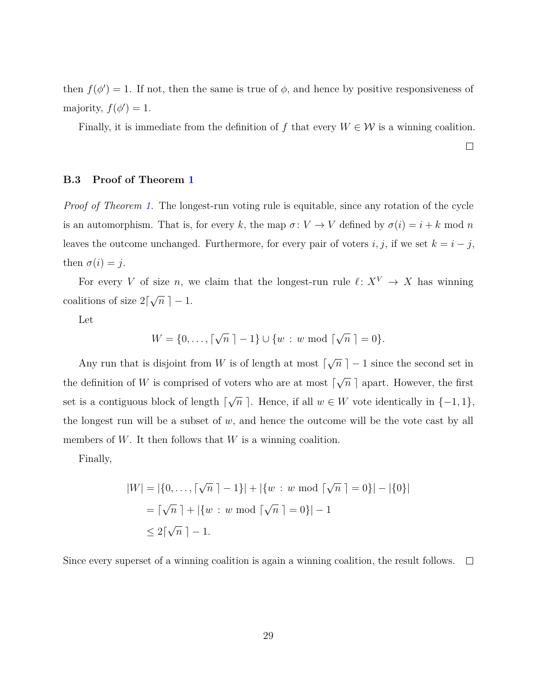then  $f(\phi') = 1$ . If not, then the same is true of  $\phi$ , and hence by positive responsiveness of majority,  $f(\phi') = 1$ .

Finally, it is immediate from the definition of *f* that every  $W \in \mathcal{W}$  is a winning coalition.

 $\Box$ 

## **B.3 Proof of Theorem [1](#page-13-1)**

*Proof of Theorem [1.](#page-13-1)* The longest-run voting rule is equitable, since any rotation of the cycle is an automorphism. That is, for every *k*, the map  $\sigma: V \to V$  defined by  $\sigma(i) = i + k \mod n$ leaves the outcome unchanged. Furthermore, for every pair of voters  $i, j$ , if we set  $k = i - j$ , then  $\sigma(i) = j$ .

For every *V* of size *n*, we claim that the longest-run rule  $\ell \colon X^V \to X$  has winning coalitions of size  $2\lceil$ √  $\overline{n}$ ] – 1.

Let

$$
W = \{0, \ldots, \lceil \sqrt{n} \rceil - 1\} \cup \{w : w \bmod \lceil \sqrt{n} \rceil = 0\}.
$$

Any run that is disjoint from  $W$  is of length at most  $\lceil$ √  $\overline{n}$  | − 1 since the second set in the definition of  $W$  is comprised of voters who are at most  $\lceil$ √  $\overline{n}$  apart. However, the first set is a contiguous block of length  $\lceil$ √  $\overline{n}$ ]. Hence, if all  $w \in W$  vote identically in  $\{-1, 1\}$ , the longest run will be a subset of  $w$ , and hence the outcome will be the vote cast by all members of W. It then follows that W is a winning coalition.

Finally,

$$
|W| = |\{0, ..., \lceil \sqrt{n} \rceil - 1\}| + |\{w : w \bmod \lceil \sqrt{n} \rceil = 0\}| - |\{0\}|
$$
  
=  $\lceil \sqrt{n} \rceil + |\{w : w \bmod \lceil \sqrt{n} \rceil = 0\}| - 1$   
\$\leq 2\lceil \sqrt{n} \rceil - 1\$.

Since every superset of a winning coalition is again a winning coalition, the result follows.  $\Box$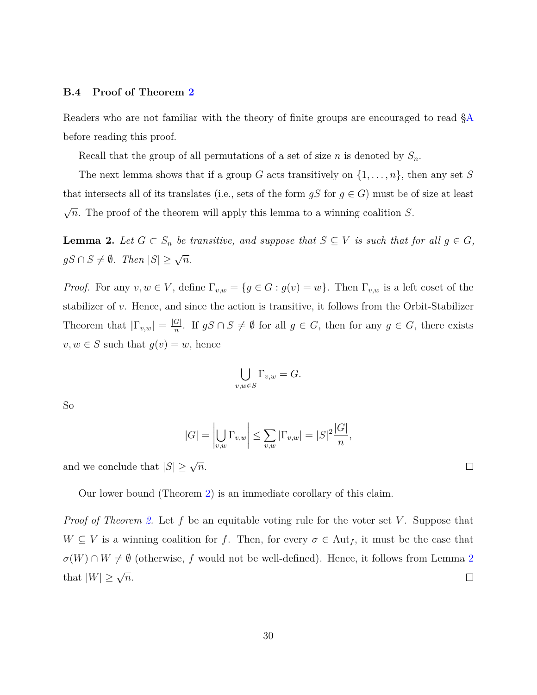### **B.4 Proof of Theorem [2](#page-15-0)**

Readers who are not familiar with the theory of finite groups are encouraged to read [§A](#page-24-0) before reading this proof.

Recall that the group of all permutations of a set of size *n* is denoted by *Sn*.

The next lemma shows that if a group *G* acts transitively on {1*, . . . , n*}, then any set *S* that intersects all of its translates (i.e., sets of the form  $gS$  for  $g \in G$ ) must be of size at least √ *n*. The proof of the theorem will apply this lemma to a winning coalition *S*.

<span id="page-29-0"></span>**Lemma 2.** Let  $G \subset S_n$  be transitive, and suppose that  $S \subseteq V$  is such that for all  $g \in G$ ,  $gS \cap S \neq \emptyset$ *.* Then  $|S| \geq \sqrt{n}$ *.* 

*Proof.* For any  $v, w \in V$ , define  $\Gamma_{v,w} = \{g \in G : g(v) = w\}$ . Then  $\Gamma_{v,w}$  is a left coset of the stabilizer of *v*. Hence, and since the action is transitive, it follows from the Orbit-Stabilizer Theorem that  $|\Gamma_{v,w}| = \frac{|G|}{n}$ *n*<sup>2</sup>. If *gS* ∩ *S*  $\neq$  *Ø* for all *g* ∈ *G*, then for any *g* ∈ *G*, there exists  $v, w \in S$  such that  $g(v) = w$ , hence

$$
\bigcup_{v,w \in S} \Gamma_{v,w} = G.
$$

So

$$
|G| = \left| \bigcup_{v,w} \Gamma_{v,w} \right| \le \sum_{v,w} |\Gamma_{v,w}| = |S|^2 \frac{|G|}{n},
$$

and we conclude that  $|S| \geq \sqrt{n}$ .

Our lower bound (Theorem [2\)](#page-15-0) is an immediate corollary of this claim.

*Proof of Theorem [2.](#page-15-0)* Let f be an equitable voting rule for the voter set *V*. Suppose that  $W \subseteq V$  is a winning coalition for *f*. Then, for every  $\sigma \in Aut_f$ , it must be the case that  $\sigma(W) \cap W \neq \emptyset$  (otherwise, *f* would not be well-defined). Hence, it follows from Lemma [2](#page-29-0) that  $|W| \geq \sqrt{n}$ .  $\Box$ 

 $\Box$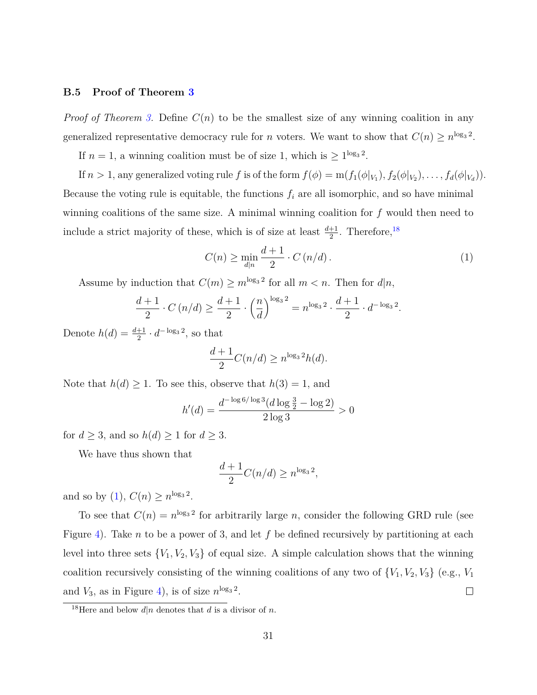#### **B.5 Proof of Theorem [3](#page-16-1)**

*Proof of Theorem [3.](#page-16-1)* Define  $C(n)$  to be the smallest size of any winning coalition in any generalized representative democracy rule for *n* voters. We want to show that  $C(n) \ge n^{\log_3 2}$ .

If  $n = 1$ , a winning coalition must be of size 1, which is  $\geq 1^{\log_3 2}$ .

If  $n > 1$ , any generalized voting rule f is of the form  $f(\phi) = m(f_1(\phi|_{V_1}), f_2(\phi|_{V_2}), \ldots, f_d(\phi|_{V_d}))$ . Because the voting rule is equitable, the functions  $f_i$  are all isomorphic, and so have minimal winning coalitions of the same size. A minimal winning coalition for *f* would then need to include a strict majority of these, which is of size at least  $\frac{d+1}{2}$ . Therefore,<sup>[18](#page-30-0)</sup>

<span id="page-30-1"></span>
$$
C(n) \ge \min_{d|n} \frac{d+1}{2} \cdot C(n/d). \tag{1}
$$

Assume by induction that  $C(m) \ge m^{\log_3 2}$  for all  $m < n$ . Then for  $d|n$ ,

$$
\frac{d+1}{2} \cdot C\left(n/d\right) \ge \frac{d+1}{2} \cdot \left(\frac{n}{d}\right)^{\log_3 2} = n^{\log_3 2} \cdot \frac{d+1}{2} \cdot d^{-\log_3 2}.
$$

Denote  $h(d) = \frac{d+1}{2} \cdot d^{-\log_3 2}$ , so that

$$
\frac{d+1}{2}C(n/d) \ge n^{\log_3 2}h(d).
$$

Note that  $h(d) \geq 1$ . To see this, observe that  $h(3) = 1$ , and

$$
h'(d) = \frac{d^{-\log 6/\log 3} (d \log \frac{3}{2} - \log 2)}{2 \log 3} > 0
$$

for  $d \geq 3$ , and so  $h(d) \geq 1$  for  $d \geq 3$ .

We have thus shown that

$$
\frac{d+1}{2}C(n/d) \ge n^{\log_3 2},
$$

and so by [\(1\)](#page-30-1),  $C(n) \ge n^{\log_3 2}$ .

To see that  $C(n) = n^{\log_3 2}$  for arbitrarily large *n*, consider the following GRD rule (see Figure [4\)](#page-17-0). Take *n* to be a power of 3, and let *f* be defined recursively by partitioning at each level into three sets  ${V_1, V_2, V_3}$  of equal size. A simple calculation shows that the winning coalition recursively consisting of the winning coalitions of any two of  ${V_1, V_2, V_3}$  (e.g.,  $V_1$ ) and  $V_3$ , as in Figure [4\)](#page-17-0), is of size  $n^{\log_3 2}$ .  $\Box$ 

<span id="page-30-0"></span><sup>&</sup>lt;sup>18</sup>Here and below  $d|n$  denotes that *d* is a divisor of *n*.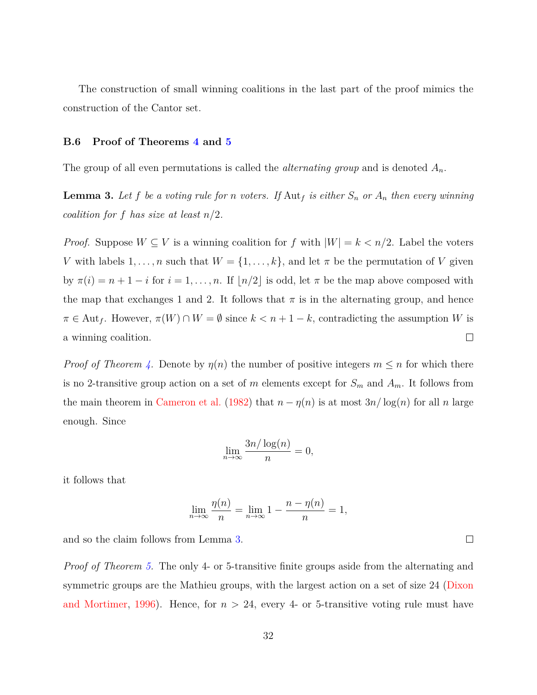The construction of small winning coalitions in the last part of the proof mimics the construction of the Cantor set.

### **B.6 Proof of Theorems [4](#page-19-0) and [5](#page-20-0)**

The group of all even permutations is called the *alternating group* and is denoted *An*.

<span id="page-31-0"></span>**Lemma 3.** Let f be a voting rule for *n* voters. If  $\text{Aut}_f$  is either  $S_n$  or  $A_n$  then every winning *coalition for f has size at least n/*2*.*

*Proof.* Suppose  $W \subseteq V$  is a winning coalition for  $f$  with  $|W| = k < n/2$ . Label the voters *V* with labels  $1, \ldots, n$  such that  $W = \{1, \ldots, k\}$ , and let  $\pi$  be the permutation of *V* given by  $\pi(i) = n + 1 - i$  for  $i = 1, ..., n$ . If  $\lfloor n/2 \rfloor$  is odd, let  $\pi$  be the map above composed with the map that exchanges 1 and 2. It follows that  $\pi$  is in the alternating group, and hence  $\pi \in \text{Aut}_f$ . However,  $\pi(W) \cap W = \emptyset$  since  $k < n + 1 - k$ , contradicting the assumption *W* is a winning coalition.  $\Box$ 

*Proof of Theorem [4.](#page-19-0)* Denote by  $\eta(n)$  the number of positive integers  $m \leq n$  for which there is no 2-transitive group action on a set of *m* elements except for  $S_m$  and  $A_m$ . It follows from the main theorem in [Cameron et al.](#page-40-6) [\(1982\)](#page-40-6) that  $n - \eta(n)$  is at most  $3n/\log(n)$  for all *n* large enough. Since

$$
\lim_{n \to \infty} \frac{3n/\log(n)}{n} = 0,
$$

it follows that

$$
\lim_{n \to \infty} \frac{\eta(n)}{n} = \lim_{n \to \infty} 1 - \frac{n - \eta(n)}{n} = 1,
$$

and so the claim follows from Lemma [3.](#page-31-0)

*Proof of Theorem [5.](#page-20-0)* The only 4- or 5-transitive finite groups aside from the alternating and symmetric groups are the Mathieu groups, with the largest action on a set of size 24 [\(Dixon](#page-40-9) [and Mortimer,](#page-40-9) [1996\)](#page-40-9). Hence, for  $n > 24$ , every 4- or 5-transitive voting rule must have

 $\Box$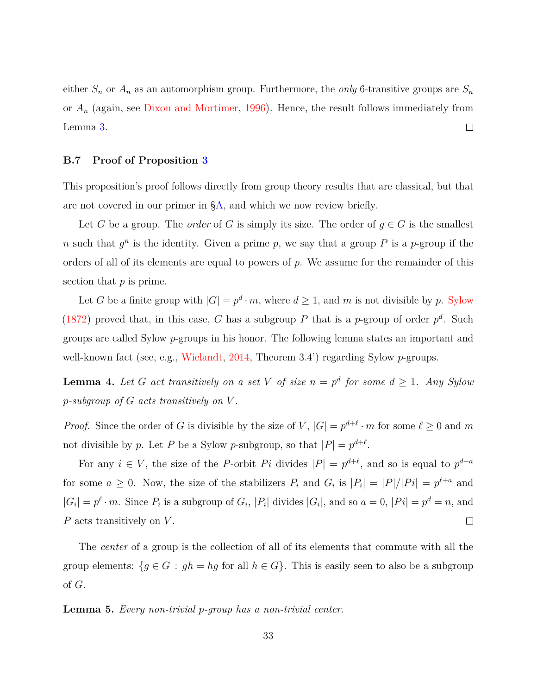either  $S_n$  or  $A_n$  as an automorphism group. Furthermore, the *only* 6-transitive groups are  $S_n$ or *A<sup>n</sup>* (again, see [Dixon and Mortimer,](#page-40-9) [1996\)](#page-40-9). Hence, the result follows immediately from  $\Box$ Lemma [3.](#page-31-0)

### <span id="page-32-0"></span>**B.7 Proof of Proposition [3](#page-21-0)**

This proposition's proof follows directly from group theory results that are classical, but that are not covered in our primer in [§A,](#page-24-0) and which we now review briefly.

Let *G* be a group. The *order* of *G* is simply its size. The order of  $g \in G$  is the smallest *n* such that  $g^n$  is the identity. Given a prime *p*, we say that a group *P* is a *p*-group if the orders of all of its elements are equal to powers of *p*. We assume for the remainder of this section that *p* is prime.

Let *G* be a finite group with  $|G| = p^d \cdot m$ , where  $d \ge 1$ , and *m* is not divisible by *p*. [Sylow](#page-42-2) [\(1872\)](#page-42-2) proved that, in this case, *G* has a subgroup *P* that is a *p*-group of order  $p^d$ . Such groups are called Sylow *p*-groups in his honor. The following lemma states an important and well-known fact (see, e.g., [Wielandt,](#page-42-3) [2014,](#page-42-3) Theorem 3.4') regarding Sylow *p*-groups.

<span id="page-32-1"></span>**Lemma 4.** Let G act transitively on a set V of size  $n = p^d$  for some  $d \geq 1$ . Any Sylow *p-subgroup of G acts transitively on V .*

*Proof.* Since the order of *G* is divisible by the size of *V*,  $|G| = p^{d+\ell} \cdot m$  for some  $\ell \geq 0$  and *m* not divisible by *p*. Let *P* be a Sylow *p*-subgroup, so that  $|P| = p^{d+\ell}$ .

For any  $i \in V$ , the size of the *P*-orbit *Pi* divides  $|P| = p^{d+\ell}$ , and so is equal to  $p^{d-a}$ for some  $a \geq 0$ . Now, the size of the stabilizers  $P_i$  and  $G_i$  is  $|P_i| = |P|/|P_i| = p^{\ell+a}$  and  $|G_i| = p^{\ell} \cdot m$ . Since  $P_i$  is a subgroup of  $G_i$ ,  $|P_i|$  divides  $|G_i|$ , and so  $a = 0$ ,  $|Pi| = p^d = n$ , and *P* acts transitively on *V* .  $\Box$ 

The *center* of a group is the collection of all of its elements that commute with all the group elements:  ${g \in G : gh = hg \text{ for all } h \in G}$ . This is easily seen to also be a subgroup of *G*.

<span id="page-32-2"></span>**Lemma 5.** *Every non-trivial p-group has a non-trivial center.*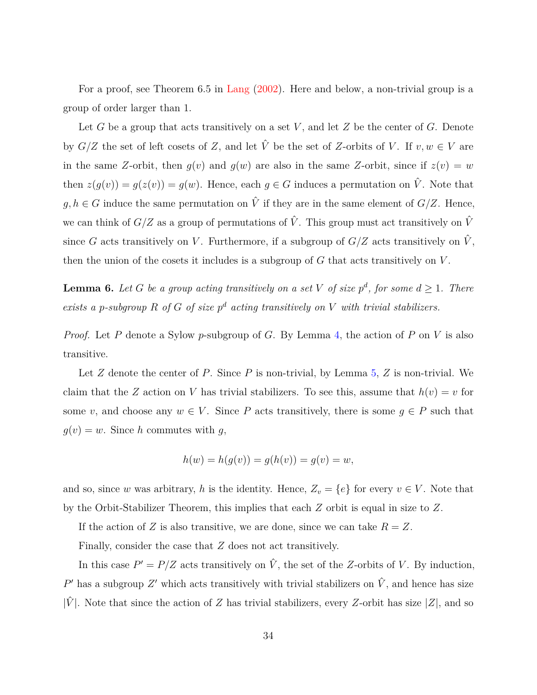For a proof, see Theorem 6.5 in [Lang](#page-41-9) [\(2002\)](#page-41-9). Here and below, a non-trivial group is a group of order larger than 1.

Let *G* be a group that acts transitively on a set *V* , and let *Z* be the center of *G*. Denote by  $G/Z$  the set of left cosets of *Z*, and let  $\hat{V}$  be the set of *Z*-orbits of *V*. If  $v, w \in V$  are in the same *Z*-orbit, then  $g(v)$  and  $g(w)$  are also in the same *Z*-orbit, since if  $z(v) = w$ then  $z(g(v)) = g(z(v)) = g(w)$ . Hence, each  $g \in G$  induces a permutation on  $\hat{V}$ . Note that *g, h* ∈ *G* induce the same permutation on  $\hat{V}$  if they are in the same element of  $G/Z$ . Hence, we can think of  $G/Z$  as a group of permutations of  $\hat{V}$ . This group must act transitively on  $\hat{V}$ since *G* acts transitively on *V*. Furthermore, if a subgroup of  $G/Z$  acts transitively on  $\hat{V}$ , then the union of the cosets it includes is a subgroup of *G* that acts transitively on *V* .

<span id="page-33-0"></span>**Lemma 6.** Let G be a group acting transitively on a set V of size  $p^d$ , for some  $d \geq 1$ . There *exists a p-subgroup*  $R$  *of*  $G$  *of size*  $p^d$  *acting transitively on*  $V$  *with trivial stabilizers.* 

*Proof.* Let *P* denote a Sylow *p*-subgroup of *G*. By Lemma [4,](#page-32-1) the action of *P* on *V* is also transitive.

Let *Z* denote the center of *P*. Since *P* is non-trivial, by Lemma [5,](#page-32-2) *Z* is non-trivial. We claim that the *Z* action on *V* has trivial stabilizers. To see this, assume that  $h(v) = v$  for some *v*, and choose any  $w \in V$ . Since *P* acts transitively, there is some  $g \in P$  such that  $q(v) = w$ . Since *h* commutes with *q*,

$$
h(w) = h(g(v)) = g(h(v)) = g(v) = w,
$$

and so, since *w* was arbitrary, *h* is the identity. Hence,  $Z_v = \{e\}$  for every  $v \in V$ . Note that by the Orbit-Stabilizer Theorem, this implies that each *Z* orbit is equal in size to *Z*.

If the action of *Z* is also transitive, we are done, since we can take  $R = Z$ .

Finally, consider the case that *Z* does not act transitively.

In this case  $P' = P/Z$  acts transitively on  $\hat{V}$ , the set of the *Z*-orbits of *V*. By induction,  $P'$  has a subgroup  $Z'$  which acts transitively with trivial stabilizers on  $\hat{V}$ , and hence has size  $|\hat{V}|$ . Note that since the action of *Z* has trivial stabilizers, every *Z*-orbit has size |*Z*|, and so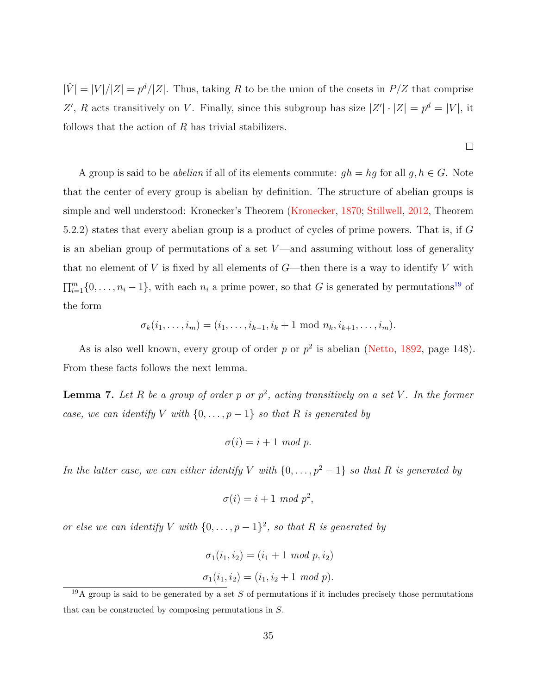$|\hat{V}| = |V|/|Z| = p^d/|Z|$ . Thus, taking R to be the union of the cosets in  $P/Z$  that comprise Z', *R* acts transitively on *V*. Finally, since this subgroup has size  $|Z'|\cdot|Z| = p^d = |V|$ , it follows that the action of *R* has trivial stabilizers.

 $\Box$ 

A group is said to be *abelian* if all of its elements commute:  $gh = hg$  for all  $g, h \in G$ . Note that the center of every group is abelian by definition. The structure of abelian groups is simple and well understood: Kronecker's Theorem [\(Kronecker,](#page-41-10) [1870;](#page-41-10) [Stillwell,](#page-42-4) [2012,](#page-42-4) Theorem 5.2.2) states that every abelian group is a product of cycles of prime powers. That is, if *G* is an abelian group of permutations of a set *V* —and assuming without loss of generality that no element of  $V$  is fixed by all elements of  $G$ —then there is a way to identify  $V$  with  $\prod_{i=1}^{m} \{0, \ldots, n_i - 1\}$ , with each  $n_i$  a prime power, so that *G* is generated by permutations<sup>[19](#page-34-0)</sup> of the form

$$
\sigma_k(i_1,\ldots,i_m)=(i_1,\ldots,i_{k-1},i_k+1 \text{ mod } n_k,i_{k+1},\ldots,i_m).
$$

As is also well known, every group of order  $p$  or  $p^2$  is abelian [\(Netto,](#page-41-11) [1892,](#page-41-11) page 148). From these facts follows the next lemma.

<span id="page-34-1"></span>**Lemma 7.** *Let R be a group of order p or p* 2 *, acting transitively on a set V . In the former case, we can identify V with*  $\{0, \ldots, p-1\}$  *so that R is generated by* 

$$
\sigma(i) = i + 1 \mod p.
$$

*In the latter case, we can either identify V with*  $\{0, \ldots, p^2 - 1\}$  *so that R is generated by* 

$$
\sigma(i) = i + 1 \mod p^2,
$$

*or else we can identify V with*  $\{0, \ldots, p-1\}^2$ , *so that R is generated by* 

$$
\sigma_1(i_1, i_2) = (i_1 + 1 \mod p, i_2)
$$
  

$$
\sigma_1(i_1, i_2) = (i_1, i_2 + 1 \mod p).
$$

<span id="page-34-0"></span> $19A$  group is said to be generated by a set *S* of permutations if it includes precisely those permutations that can be constructed by composing permutations in *S*.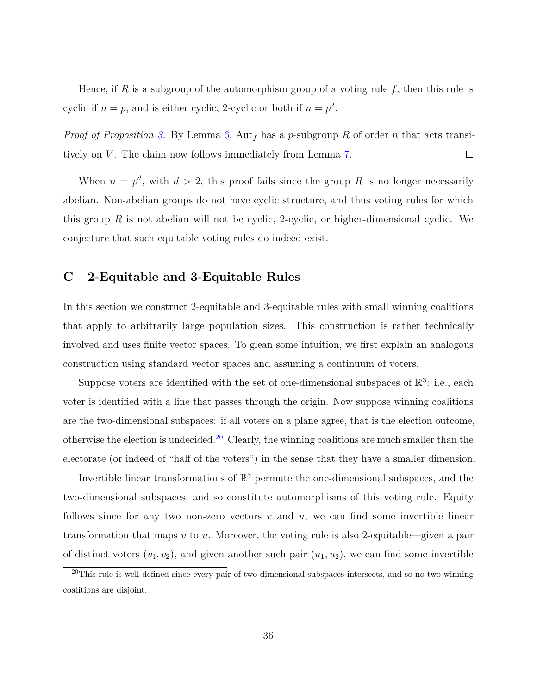Hence, if *R* is a subgroup of the automorphism group of a voting rule *f*, then this rule is cyclic if  $n = p$ , and is either cyclic, 2-cyclic or both if  $n = p^2$ .

*Proof of Proposition [3.](#page-21-0)* By Lemma [6,](#page-33-0) Aut*<sup>f</sup>* has a *p*-subgroup *R* of order *n* that acts transitively on *V*. The claim now follows immediately from Lemma [7.](#page-34-1)  $\Box$ 

When  $n = p^d$ , with  $d > 2$ , this proof fails since the group R is no longer necessarily abelian. Non-abelian groups do not have cyclic structure, and thus voting rules for which this group  $R$  is not abelian will not be cyclic, 2-cyclic, or higher-dimensional cyclic. We conjecture that such equitable voting rules do indeed exist.

## <span id="page-35-0"></span>**C 2-Equitable and 3-Equitable Rules**

In this section we construct 2-equitable and 3-equitable rules with small winning coalitions that apply to arbitrarily large population sizes. This construction is rather technically involved and uses finite vector spaces. To glean some intuition, we first explain an analogous construction using standard vector spaces and assuming a continuum of voters.

Suppose voters are identified with the set of one-dimensional subspaces of  $\mathbb{R}^3$ : i.e., each voter is identified with a line that passes through the origin. Now suppose winning coalitions are the two-dimensional subspaces: if all voters on a plane agree, that is the election outcome, otherwise the election is undecided.<sup>[20](#page-35-1)</sup> Clearly, the winning coalitions are much smaller than the electorate (or indeed of "half of the voters") in the sense that they have a smaller dimension.

Invertible linear transformations of  $\mathbb{R}^3$  permute the one-dimensional subspaces, and the two-dimensional subspaces, and so constitute automorphisms of this voting rule. Equity follows since for any two non-zero vectors *v* and *u*, we can find some invertible linear transformation that maps *v* to *u*. Moreover, the voting rule is also 2-equitable—given a pair of distinct voters  $(v_1, v_2)$ , and given another such pair  $(u_1, u_2)$ , we can find some invertible

<span id="page-35-1"></span> $\frac{20}{20}$ This rule is well defined since every pair of two-dimensional subspaces intersects, and so no two winning coalitions are disjoint.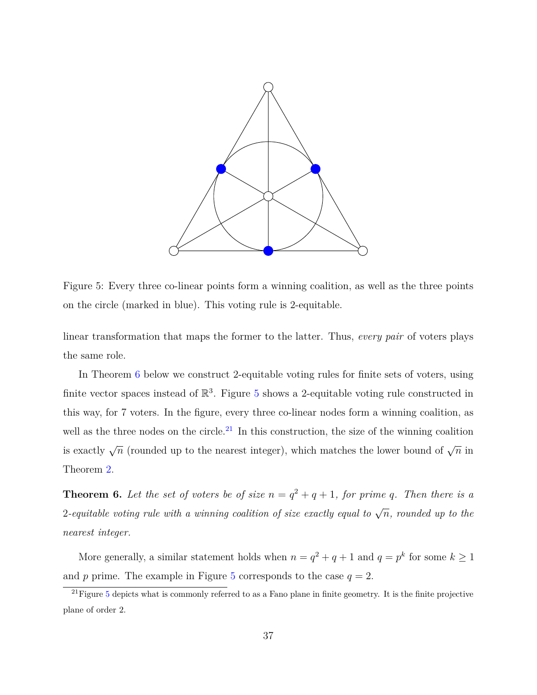<span id="page-36-1"></span>

Figure 5: Every three co-linear points form a winning coalition, as well as the three points on the circle (marked in blue). This voting rule is 2-equitable.

linear transformation that maps the former to the latter. Thus, *every pair* of voters plays the same role.

In Theorem [6](#page-36-0) below we construct 2-equitable voting rules for finite sets of voters, using finite vector spaces instead of  $\mathbb{R}^3$ . Figure [5](#page-36-1) shows a 2-equitable voting rule constructed in this way, for 7 voters. In the figure, every three co-linear nodes form a winning coalition, as well as the three nodes on the circle.<sup>[21](#page-36-2)</sup> In this construction, the size of the winning coalition is exactly  $\sqrt{n}$  (rounded up to the nearest integer), which matches the lower bound of  $\sqrt{n}$  in Theorem [2.](#page-15-0)

<span id="page-36-0"></span>**Theorem 6.** Let the set of voters be of size  $n = q^2 + q + 1$ , for prime q. Then there is a  $\emph{2-equitable voting rule with a winning coalition of size exactly equal to  $\sqrt{n}$ , rounded up to the$ *nearest integer.*

More generally, a similar statement holds when  $n = q^2 + q + 1$  and  $q = p^k$  for some  $k \ge 1$ and *p* prime. The example in Figure [5](#page-36-1) corresponds to the case  $q = 2$ .

<span id="page-36-2"></span> $^{21}$ Figure [5](#page-36-1) depicts what is commonly referred to as a Fano plane in finite geometry. It is the finite projective plane of order 2.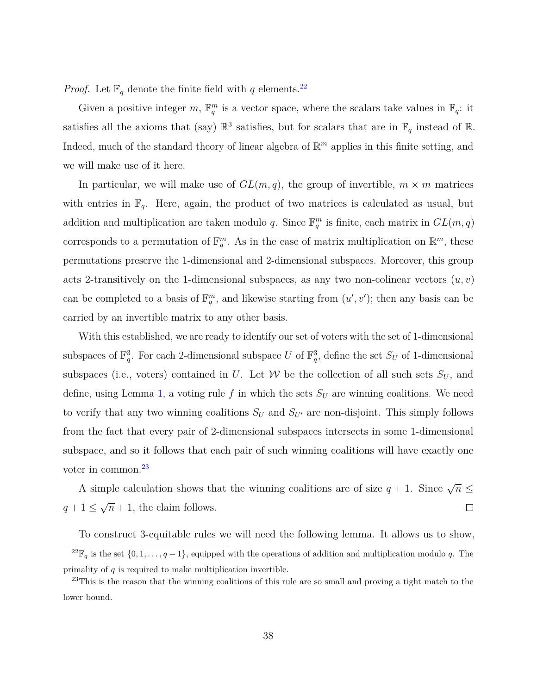*Proof.* Let  $\mathbb{F}_q$  denote the finite field with *q* elements.<sup>[22](#page-37-0)</sup>

Given a positive integer  $m$ ,  $\mathbb{F}_q^m$  is a vector space, where the scalars take values in  $\mathbb{F}_q$ : it satisfies all the axioms that (say)  $\mathbb{R}^3$  satisfies, but for scalars that are in  $\mathbb{F}_q$  instead of  $\mathbb{R}$ . Indeed, much of the standard theory of linear algebra of  $\mathbb{R}^m$  applies in this finite setting, and we will make use of it here.

In particular, we will make use of  $GL(m, q)$ , the group of invertible,  $m \times m$  matrices with entries in  $\mathbb{F}_q$ . Here, again, the product of two matrices is calculated as usual, but addition and multiplication are taken modulo *q*. Since  $\mathbb{F}_q^m$  is finite, each matrix in  $GL(m, q)$ corresponds to a permutation of  $\mathbb{F}_q^m$ . As in the case of matrix multiplication on  $\mathbb{R}^m$ , these permutations preserve the 1-dimensional and 2-dimensional subspaces. Moreover, this group acts 2-transitively on the 1-dimensional subspaces, as any two non-colinear vectors  $(u, v)$ can be completed to a basis of  $\mathbb{F}_q^m$ , and likewise starting from  $(u', v')$ ; then any basis can be carried by an invertible matrix to any other basis.

With this established, we are ready to identify our set of voters with the set of 1-dimensional subspaces of  $\mathbb{F}_q^3$ . For each 2-dimensional subspace *U* of  $\mathbb{F}_q^3$ , define the set  $S_U$  of 1-dimensional subspaces (i.e., voters) contained in *U*. Let *W* be the collection of all such sets  $S_U$ , and define, using Lemma [1,](#page-13-0) a voting rule  $f$  in which the sets  $S_U$  are winning coalitions. We need to verify that any two winning coalitions  $S_U$  and  $S_{U'}$  are non-disjoint. This simply follows from the fact that every pair of 2-dimensional subspaces intersects in some 1-dimensional subspace, and so it follows that each pair of such winning coalitions will have exactly one voter in common.<sup>[23](#page-37-1)</sup>

A simple calculation shows that the winning coalitions are of size  $q + 1$ . Since  $\sqrt{n} \leq$ √  $q + 1 \leq$  $\overline{n} + 1$ , the claim follows.  $\Box$ 

<span id="page-37-0"></span>To construct 3-equitable rules we will need the following lemma. It allows us to show, <sup>22</sup> $\mathbb{F}_q$  is the set  $\{0, 1, \ldots, q-1\}$ , equipped with the operations of addition and multiplication modulo *q*. The primality of *q* is required to make multiplication invertible.

<span id="page-37-1"></span><sup>&</sup>lt;sup>23</sup>This is the reason that the winning coalitions of this rule are so small and proving a tight match to the lower bound.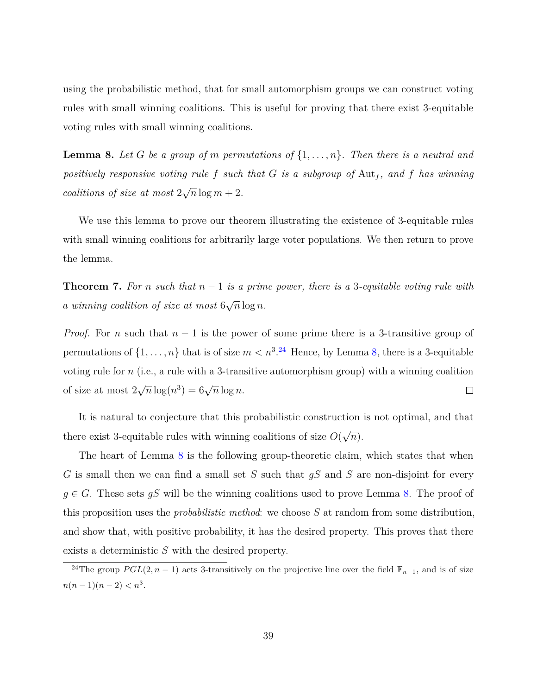using the probabilistic method, that for small automorphism groups we can construct voting rules with small winning coalitions. This is useful for proving that there exist 3-equitable voting rules with small winning coalitions.

<span id="page-38-1"></span>**Lemma 8.** Let G be a group of m permutations of  $\{1, \ldots, n\}$ . Then there is a neutral and *positively responsive voting rule*  $f$  *such that*  $G$  *is a subgroup of*  $\text{Aut}_f$ *, and*  $f$  *has winning coalitions of size at most* 2 √  $\overline{n}$  log  $m+2$ .

We use this lemma to prove our theorem illustrating the existence of 3-equitable rules with small winning coalitions for arbitrarily large voter populations. We then return to prove the lemma.

**Theorem 7.** For *n* such that  $n-1$  is a prime power, there is a 3-equitable voting rule with *a winning coalition of size at most* 6 √  $\overline{n}$   $\log n$ *.* 

*Proof.* For *n* such that *n* − 1 is the power of some prime there is a 3-transitive group of permutations of  $\{1, \ldots, n\}$  that is of size  $m < n^{3.24}$  $m < n^{3.24}$  $m < n^{3.24}$  Hence, by Lemma [8,](#page-38-1) there is a 3-equitable voting rule for *n* (i.e., a rule with a 3-transitive automorphism group) with a winning coalition √  $\overline{n} \log(n^3) = 6\sqrt{n} \log n.$ of size at most 2  $\Box$ 

It is natural to conjecture that this probabilistic construction is not optimal, and that there exist 3-equitable rules with winning coalitions of size *O*( √ *n*).

The heart of Lemma [8](#page-38-1) is the following group-theoretic claim, which states that when *G* is small then we can find a small set *S* such that *gS* and *S* are non-disjoint for every  $g \in G$ . These sets  $gS$  will be the winning coalitions used to prove Lemma [8.](#page-38-1) The proof of this proposition uses the *probabilistic method*: we choose *S* at random from some distribution, and show that, with positive probability, it has the desired property. This proves that there exists a deterministic *S* with the desired property.

<span id="page-38-0"></span><sup>&</sup>lt;sup>24</sup>The group *PGL*(2*, n* − 1) acts 3-transitively on the projective line over the field  $\mathbb{F}_{n-1}$ , and is of size  $n(n-1)(n-2) < n^3$ .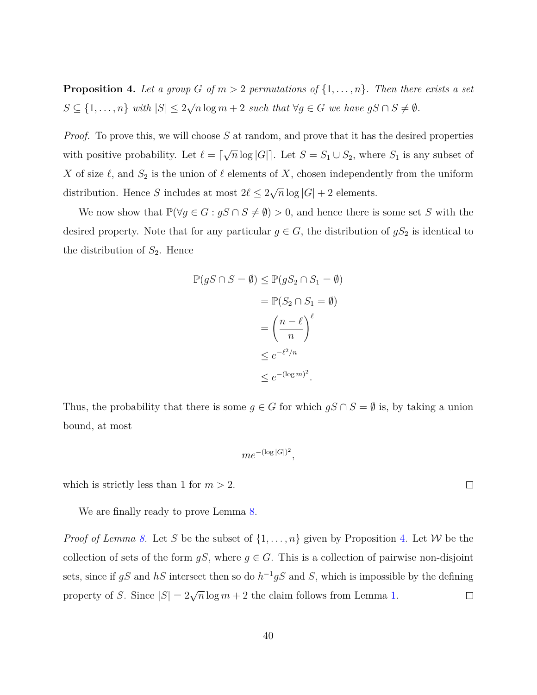<span id="page-39-0"></span>**Proposition 4.** Let a group *G* of  $m > 2$  permutations of  $\{1, \ldots, n\}$ . Then there exists a set  $S \subseteq \{1, \ldots, n\}$  *with*  $|S| \leq 2$ √  $\overline{n} \log m + 2$  *such that*  $\forall g \in G$  *we have*  $gS \cap S \neq \emptyset$ *.* 

*Proof.* To prove this, we will choose S at random, and prove that it has the desired properties with positive probability. Let  $\ell = \lceil$ √  $\overline{n} \log |G|$ . Let  $S = S_1 \cup S_2$ , where  $S_1$  is any subset of *X* of size  $\ell$ , and  $S_2$  is the union of  $\ell$  elements of *X*, chosen independently from the uniform distribution. Hence *S* includes at most  $2\ell \leq 2$ √  $\overline{n}$  log |*G*| + 2 elements.

We now show that  $\mathbb{P}(\forall g \in G : gS \cap S \neq \emptyset) > 0$ , and hence there is some set *S* with the desired property. Note that for any particular  $g \in G$ , the distribution of  $gS_2$  is identical to the distribution of  $S_2$ . Hence

$$
\mathbb{P}(gS \cap S = \emptyset) \leq \mathbb{P}(gS_2 \cap S_1 = \emptyset)
$$

$$
= \mathbb{P}(S_2 \cap S_1 = \emptyset)
$$

$$
= \left(\frac{n - \ell}{n}\right)^{\ell}
$$

$$
\leq e^{-\ell^2/n}
$$

$$
\leq e^{-(\log m)^2}.
$$

Thus, the probability that there is some  $g \in G$  for which  $gS \cap S = \emptyset$  is, by taking a union bound, at most

$$
me^{-(\log|G|)^2},
$$

which is strictly less than 1 for  $m > 2$ .

We are finally ready to prove Lemma [8.](#page-38-1)

*Proof of Lemma [8.](#page-38-1)* Let *S* be the subset of  $\{1, \ldots, n\}$  given by Proposition [4.](#page-39-0) Let *W* be the collection of sets of the form  $gS$ , where  $g \in G$ . This is a collection of pairwise non-disjoint sets, since if  $gS$  and  $hS$  intersect then so do  $h^{-1}gS$  and S, which is impossible by the defining property of *S*. Since  $|S| = 2\sqrt{n}\log m + 2$  the claim follows from Lemma [1.](#page-13-0)  $\Box$ 

 $\Box$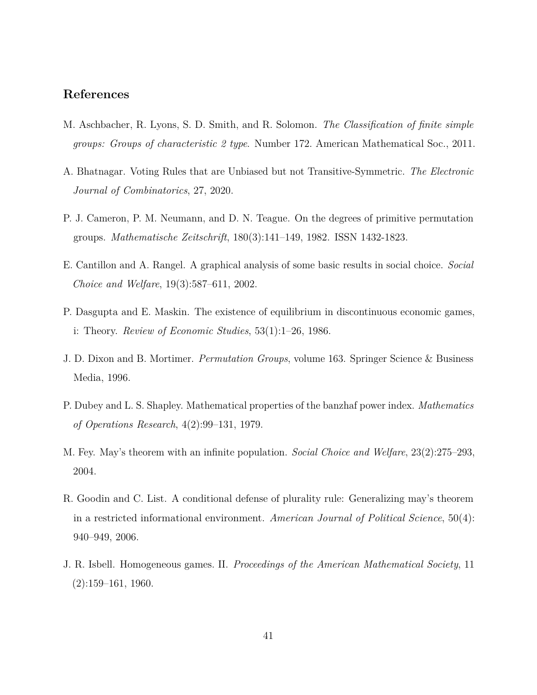## **References**

- <span id="page-40-7"></span>M. Aschbacher, R. Lyons, S. D. Smith, and R. Solomon. *The Classification of finite simple groups: Groups of characteristic 2 type*. Number 172. American Mathematical Soc., 2011.
- <span id="page-40-4"></span>A. Bhatnagar. Voting Rules that are Unbiased but not Transitive-Symmetric. *The Electronic Journal of Combinatorics*, 27, 2020.
- <span id="page-40-6"></span>P. J. Cameron, P. M. Neumann, and D. N. Teague. On the degrees of primitive permutation groups. *Mathematische Zeitschrift*, 180(3):141–149, 1982. ISSN 1432-1823.
- <span id="page-40-0"></span>E. Cantillon and A. Rangel. A graphical analysis of some basic results in social choice. *Social Choice and Welfare*, 19(3):587–611, 2002.
- <span id="page-40-8"></span>P. Dasgupta and E. Maskin. The existence of equilibrium in discontinuous economic games, i: Theory. *Review of Economic Studies*, 53(1):1–26, 1986.
- <span id="page-40-9"></span>J. D. Dixon and B. Mortimer. *Permutation Groups*, volume 163. Springer Science & Business Media, 1996.
- <span id="page-40-3"></span>P. Dubey and L. S. Shapley. Mathematical properties of the banzhaf power index. *Mathematics of Operations Research*, 4(2):99–131, 1979.
- <span id="page-40-1"></span>M. Fey. May's theorem with an infinite population. *Social Choice and Welfare*, 23(2):275–293, 2004.
- <span id="page-40-2"></span>R. Goodin and C. List. A conditional defense of plurality rule: Generalizing may's theorem in a restricted informational environment. *American Journal of Political Science*, 50(4): 940–949, 2006.
- <span id="page-40-5"></span>J. R. Isbell. Homogeneous games. II. *Proceedings of the American Mathematical Society*, 11  $(2):159-161, 1960.$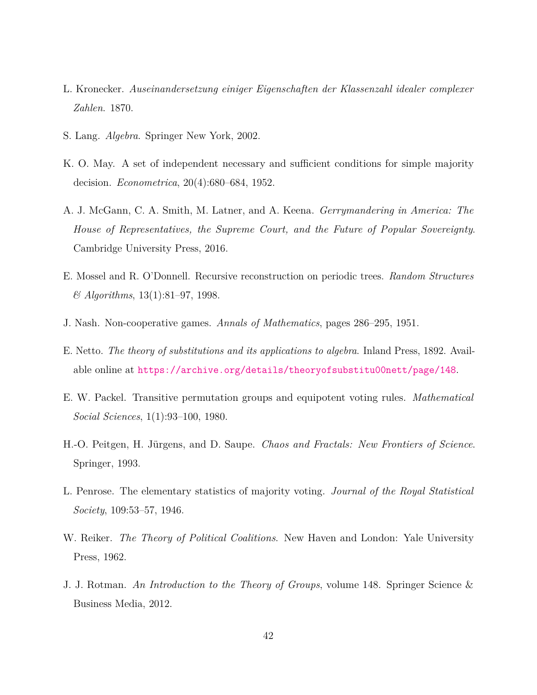- <span id="page-41-10"></span>L. Kronecker. *Auseinandersetzung einiger Eigenschaften der Klassenzahl idealer complexer Zahlen*. 1870.
- <span id="page-41-9"></span>S. Lang. *Algebra*. Springer New York, 2002.
- <span id="page-41-0"></span>K. O. May. A set of independent necessary and sufficient conditions for simple majority decision. *Econometrica*, 20(4):680–684, 1952.
- <span id="page-41-4"></span>A. J. McGann, C. A. Smith, M. Latner, and A. Keena. *Gerrymandering in America: The House of Representatives, the Supreme Court, and the Future of Popular Sovereignty*. Cambridge University Press, 2016.
- <span id="page-41-3"></span>E. Mossel and R. O'Donnell. Recursive reconstruction on periodic trees. *Random Structures & Algorithms*, 13(1):81–97, 1998.
- <span id="page-41-7"></span>J. Nash. Non-cooperative games. *Annals of Mathematics*, pages 286–295, 1951.
- <span id="page-41-11"></span>E. Netto. *The theory of substitutions and its applications to algebra*. Inland Press, 1892. Available online at <https://archive.org/details/theoryofsubstitu00nett/page/148>.
- <span id="page-41-1"></span>E. W. Packel. Transitive permutation groups and equipotent voting rules. *Mathematical Social Sciences*, 1(1):93–100, 1980.
- <span id="page-41-6"></span>H.-O. Peitgen, H. Jürgens, and D. Saupe. *Chaos and Fractals: New Frontiers of Science*. Springer, 1993.
- <span id="page-41-5"></span>L. Penrose. The elementary statistics of majority voting. *Journal of the Royal Statistical Society*, 109:53–57, 1946.
- <span id="page-41-2"></span>W. Reiker. *The Theory of Political Coalitions*. New Haven and London: Yale University Press, 1962.
- <span id="page-41-8"></span>J. J. Rotman. *An Introduction to the Theory of Groups*, volume 148. Springer Science & Business Media, 2012.